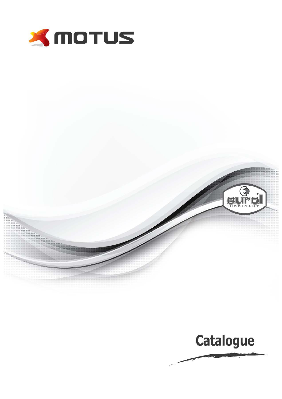



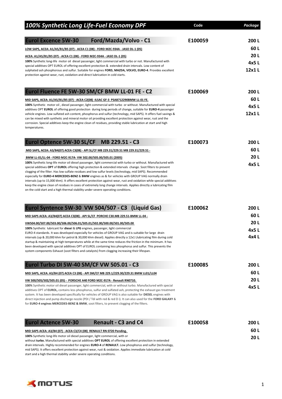| 100% Synthetic Long Life-Fuel Economy DPF                                                                                                                                                                                                                                                                                                                                                                                                                                                                                                                                                                                                                                                                                                                                             | Code    | Package |
|---------------------------------------------------------------------------------------------------------------------------------------------------------------------------------------------------------------------------------------------------------------------------------------------------------------------------------------------------------------------------------------------------------------------------------------------------------------------------------------------------------------------------------------------------------------------------------------------------------------------------------------------------------------------------------------------------------------------------------------------------------------------------------------|---------|---------|
| <b>Eurol Excence 5W-30</b><br>Ford/Mazda/Volvo - C1                                                                                                                                                                                                                                                                                                                                                                                                                                                                                                                                                                                                                                                                                                                                   | E100059 | 200L    |
|                                                                                                                                                                                                                                                                                                                                                                                                                                                                                                                                                                                                                                                                                                                                                                                       |         | 60L     |
| LOW SAPS, ACEA: A1/A5/B1/B5 (07) - ACEA C1 (08) - FORD M2C-934A - JASO DL-1 (05)                                                                                                                                                                                                                                                                                                                                                                                                                                                                                                                                                                                                                                                                                                      |         | 20L     |
| <u> ACEA: A1/A5/B1/B5 (07) - ACEA C1 (08) - FORD M2C-934A - JASO DL-1 (05)</u><br>100% Synthetic long-life motor oil diesel passenger, light commercial with turbo or not. Manufactured with                                                                                                                                                                                                                                                                                                                                                                                                                                                                                                                                                                                          |         | 4x5L    |
| special additives OPT EUROL of offering excellent protection & extended drain intervals. Low content of                                                                                                                                                                                                                                                                                                                                                                                                                                                                                                                                                                                                                                                                               |         | 12x1L   |
| sulphated ash phosphorous and sulfur. Suitable for engines FORD, MAZDA, VOLVO, EURO-4. Provides excellent<br>protection against wear, rust, oxidation and direct lubrication in cold starts.                                                                                                                                                                                                                                                                                                                                                                                                                                                                                                                                                                                          |         |         |
| Eurol Fluence FE 5W-30 SM/CF BMW LL-01 FE - C2                                                                                                                                                                                                                                                                                                                                                                                                                                                                                                                                                                                                                                                                                                                                        | E100069 | 200 L   |
| MID SAPS, ACEA: A1/A5/B1/B5 (07) - ACEA C2(08) -ILSAC GF-3 PSAB712290BMW LL-01 FE.                                                                                                                                                                                                                                                                                                                                                                                                                                                                                                                                                                                                                                                                                                    |         | 60L     |
| 100% Synthetic motor oil, diesel passenger, light commercial with turbo or without. Manufactured with special                                                                                                                                                                                                                                                                                                                                                                                                                                                                                                                                                                                                                                                                         |         | 4x5L    |
| additives OPT EUROL of offering good protection during long periods of change, suitable for EURO-4 passenger<br>vehicle engines. Low sulfated ash content, phosphorus and sulfur (technology, mid SAPS). It offers fuel savings &<br>can be mixed with synthetic and mineral motor oil providing excellent protection against wear, rust and the<br>corrosion. Special additives keep the engine clean of residues, providing stable lubrication at start and high<br>temperatures.                                                                                                                                                                                                                                                                                                   |         | 12x1L   |
| Eurol Optence 5W-30 SL/CF MB 229.51 - C3                                                                                                                                                                                                                                                                                                                                                                                                                                                                                                                                                                                                                                                                                                                                              | E100073 | 200 L   |
| MID SAPS, ACEA: A3/B4(07) ACEA C3(08) - API SL/CF MB 229.31/229.51 MB 229.31/229.51 -                                                                                                                                                                                                                                                                                                                                                                                                                                                                                                                                                                                                                                                                                                 |         | 60 L    |
| BMW LL-01/LL-04 - FORD M2C-917A- VW 502.00/505.00/505.01 (2005)                                                                                                                                                                                                                                                                                                                                                                                                                                                                                                                                                                                                                                                                                                                       |         | 20L     |
| 100% Synthetic long-life motor oil diesel passenger, light commercial with turbo or without. Manufactured with<br>special additives OPT of EUROL offering high protection & extended intervals change. Soot filters to prevent<br>clogging of the filter. Has low sulfate residues and low sulfur levels (technology, mid SAPS). Recommended<br>especially for EURO-4 MERCEDES-BENZ & BMW engines as & for vehicles with GROUP VAG normally drain<br>intervals (up to 15,000 khm). It offers excellent protection against wear, rust and oxidation while special additives<br>keep the engine clean of residues in cases of extremely long change intervals. Applies directly a lubricating film<br>on the cold start and a high thermal stability under severe operating conditions. |         | 4x5L    |
| Eurol Syntence 5W-30 VW 504/507 - C3 (Liquid Gas)                                                                                                                                                                                                                                                                                                                                                                                                                                                                                                                                                                                                                                                                                                                                     | E100062 | 200L    |
| MID SAPS ACEA: A3/B4(07) ACEA C3(08) - API SL/CF PORCHE C30.MB 229.51-BMW LL-04 -                                                                                                                                                                                                                                                                                                                                                                                                                                                                                                                                                                                                                                                                                                     |         | 60 L    |
| VW504.00/507.00/503.00/506.00/506.01/505.01/502.00/500.00/501.00/505.00                                                                                                                                                                                                                                                                                                                                                                                                                                                                                                                                                                                                                                                                                                               |         | 20L     |
| 100% Synthetic lubricant for diesel & LPG engines, passenger, light commercial<br>EURO-4 standards. It was developed especially for vehicles of GROUP VAG and is suitable for large drain                                                                                                                                                                                                                                                                                                                                                                                                                                                                                                                                                                                             |         | 4x5L    |
| intervals (up & 20,000 khm for petrol & 30,000 khm diesel). Applies directly a 12x1 Llubricating film during cold<br>startup & maintaining at high temperatures while at the same time reduces the friction in the minimum. It has<br>been developed with special additives OPT of EUROL containing less phosphorus and sulfur. This prevents the<br>system components Exhaust (soot filters and catalysts) from clogging increasing their lifespan.                                                                                                                                                                                                                                                                                                                                  |         | 4x4L    |
| Eurol Turbo DI 5W-40 SM/CF VW 505.01 - C3                                                                                                                                                                                                                                                                                                                                                                                                                                                                                                                                                                                                                                                                                                                                             | E100085 | 200L    |
| MID SAPS, ACEA: A3/B4 (07) ACEA C3 (08) - API SM/CF MB 229.1/229.30/229.31 BMW LL01/LL04                                                                                                                                                                                                                                                                                                                                                                                                                                                                                                                                                                                                                                                                                              |         | 60 L    |
| VW 500/505/502/505.01 (05) - PORSCHE A40 FORD M2C-917A - Renault RN0710.                                                                                                                                                                                                                                                                                                                                                                                                                                                                                                                                                                                                                                                                                                              |         | 20L     |
| 100% Synthetic motor oil diesel passenger, light commercial, with or without turbo. Manufactured with special<br>additives OPT of EUROL, contains less phosphorus, sulfur and sulfated ash, protecting the exhaust gas treatment<br>system. It has been developed specifically for vehicles of GROUP VAG is also suitable for DIESEL engines with<br>direct injection and pump discharge nozzle (PDI / Tdi with red & red D i). It can also used for the FORD GALAXY &<br>for EURO-4 engines MERCEDES-BENZ & BMW, soot filters, to prevent clogging of the filters.                                                                                                                                                                                                                   |         | 4x5L    |
| <b>Eurol Actence 5W-30</b><br><b>Renault - C3 and C4</b>                                                                                                                                                                                                                                                                                                                                                                                                                                                                                                                                                                                                                                                                                                                              | E100058 | 200L    |
| MID SAPS ACEA: A3/B4 (07) - ACEA C3/C4 (08) RENAULT RN 0720 Pending.                                                                                                                                                                                                                                                                                                                                                                                                                                                                                                                                                                                                                                                                                                                  |         | 60L     |
| 100% Synthetic long-life motor oil diesel passenger, light commercial, with or                                                                                                                                                                                                                                                                                                                                                                                                                                                                                                                                                                                                                                                                                                        |         | 20L     |
| without turbo. Manufactured with special additives OPT EUROL of offering excellent protection in extended<br>drain intervals. Highly recommended for engines EURO-4 of RENAULT. Low phosphorus and sulfur (technology,<br>mid SAPS). It offers excellent protection against wear, rust & oxidation. Applies immediate lubrication at cold                                                                                                                                                                                                                                                                                                                                                                                                                                             |         |         |

start and a high thermal stability under severe operating conditions.

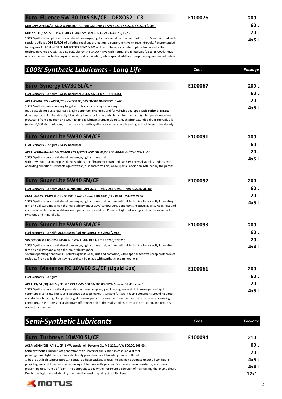| Eurol Fluence 5W-30 DXS SN/CF DEXOS2 - C3                                                                                                                                                                                                                                                                                                                                                                                                                                                                                                                                      | E100076 | 200 L       |  |
|--------------------------------------------------------------------------------------------------------------------------------------------------------------------------------------------------------------------------------------------------------------------------------------------------------------------------------------------------------------------------------------------------------------------------------------------------------------------------------------------------------------------------------------------------------------------------------|---------|-------------|--|
| MID SAPS API: SN/CF-ACEA A3/B4 (07), C3 (08)-GM Dexos 2-VW 502.00 / 505.00 / 505.01 (2005)                                                                                                                                                                                                                                                                                                                                                                                                                                                                                     |         |             |  |
| MB: 229.31 / 229.51-BMW LL-01 / LL-04-Ford M2C-917A-GM-LL-A-025 / B-25                                                                                                                                                                                                                                                                                                                                                                                                                                                                                                         |         | <b>20 L</b> |  |
| 100% Synthetic long-life motor oil diesel passenger, light commercial, with or without turbo. Manufactured with<br>special additives OPT EUROL of offering excellent protection to comprehensive change intervals. Recommended<br>for engines EURO-4 of OPEL, MERCEDES BENZ & BMW. Low sulfated ash content, phosphorus and sulfur<br>(technology, mid SAPS). It is also suitable For the GROUP VAG with normal drain intervals (up to 15,000 khm). It<br>offers excellent protection against wear, rust & oxidation, while special additives keep the engine clean of debris. |         | 4x5 L       |  |

| 100% Synthetic Lubricants - Long Life                                                                                                                                                                                                                                                                                                                                                                                                                                                                                                            | Code    | Package |
|--------------------------------------------------------------------------------------------------------------------------------------------------------------------------------------------------------------------------------------------------------------------------------------------------------------------------------------------------------------------------------------------------------------------------------------------------------------------------------------------------------------------------------------------------|---------|---------|
| <b>Eurol Synergy 0W30 SL/CF</b>                                                                                                                                                                                                                                                                                                                                                                                                                                                                                                                  | E100067 | 200 L   |
| Fuel Economy - Longlife - Gasoline/diesel ACEA A3/B4 (07) - API SL/CF                                                                                                                                                                                                                                                                                                                                                                                                                                                                            |         | 60 L    |
| ACEA A3/B4 (07) - API SL/CF - VW 502.00/505.00/503.01-PORSCHE A40                                                                                                                                                                                                                                                                                                                                                                                                                                                                                |         | 20L     |
| 100% Synthetic fuel economy long-life motor oil offers high economy<br>fuel. Suitable for passenger cars & light commercial vehicles and for vehicles equipped with Turbo or DIESEL<br>direct injection. Applies directly lubricating film on cold start, which maintains and at high temperatures while<br>protecting from oxidation and wear. Engine & lubricant remain clean, & even after extended drain intervals oils<br>(up to 30,000 khm). Although it can be mixed with synthetic or mineral oils blending will not benefit the already |         | 4x5L    |
| <b>Eurol Super Lite 5W30 SM/CF</b>                                                                                                                                                                                                                                                                                                                                                                                                                                                                                                               | E100091 | 200L    |
| Fuel Economy - Longlife - Gasoline/diesel                                                                                                                                                                                                                                                                                                                                                                                                                                                                                                        |         | 60 L    |
| ACEA: A3/B4 (04)-API SM/CF-MB 229.1/229.3 - VW 502.00/505.00 -GM-LL-B-025-BMW LL-98.                                                                                                                                                                                                                                                                                                                                                                                                                                                             |         | 20L     |
| 100% Synthetic motor oil, diesel passenger, light commercial<br>with or without turbo. Applies directly lubricating film on cold start and has high thermal stability under severe<br>operating conditions. Protects against wear, rust and corrosion, while special additional retained by the parties                                                                                                                                                                                                                                          |         | 4x5 L   |
| <b>Eurol Super Lite 5W40 SN/CF</b>                                                                                                                                                                                                                                                                                                                                                                                                                                                                                                               | E100092 | 200L    |
| Fuel Economy - Longlife ACEA: A3/B4 (08) - API SN/CF - MB 229.1/229.3 - VW 502.00/505.00                                                                                                                                                                                                                                                                                                                                                                                                                                                         |         | 60 L    |
| GM-LL-B-025 - BMW LL-01 - PORSCHE A40 - Renault RN 0700 / RN 0710 - PSA B71 2296                                                                                                                                                                                                                                                                                                                                                                                                                                                                 |         | 20L     |
| 100% Synthetic motor oil, diesel passenger, light commercial, with or without turbo. Applies directly lubricating<br>film on cold start and a high thermal stability under adverse operating conditions. Protects against wear, rust and<br>corrosion, while special additives keep parts free of residues. Provides high fuel savings and can be mixed with<br>synthetic and mineral oils.                                                                                                                                                      |         | 4x5 L   |
| <b>Eurol Super Lite 5W50 SM/CF</b>                                                                                                                                                                                                                                                                                                                                                                                                                                                                                                               | E100093 | 200 L   |
| Fuel Economy - Longlife ACEA:A3/B4 (08)-API SM/CF-MB 229.1/229.3-                                                                                                                                                                                                                                                                                                                                                                                                                                                                                |         | 60 L    |
| VW 502.00/505.00-GM-LL-B-025- BMW LL-01- RENAULT RN0700/RN0710.                                                                                                                                                                                                                                                                                                                                                                                                                                                                                  |         | 20L     |
| 100% Synthetic motor oil, diesel passenger, light commercial, with or without turbo. Applies directly lubricating<br>film on cold start and a high thermal stability under<br>several operating conditions. Protects against wear, rust and corrosion, while special additives keep parts free of                                                                                                                                                                                                                                                |         | 4x4L    |
| residues. Provides high fuel savings and can be mixed with synthetic and mineral oils.                                                                                                                                                                                                                                                                                                                                                                                                                                                           |         |         |
| Eurol Maxence RC 10W60 SL/CF (Liquid Gas)                                                                                                                                                                                                                                                                                                                                                                                                                                                                                                        | E100061 | 200L    |
| <b>Fuel Economy - Longlife</b>                                                                                                                                                                                                                                                                                                                                                                                                                                                                                                                   |         | 60 L    |
| ACEA:A3/B4 (08) -API SL/CF -MB 229.1 -VW 500.00/505.00-BMW Special Oil -Porsche GL.                                                                                                                                                                                                                                                                                                                                                                                                                                                              |         | 20L     |
| 100% Synthetic motor oil last generation of diesel engines, gasoline engines and LPG passenger and light<br>commercial vehicles. The special additive package makes it suitable for use in racing conditions providing direct<br>and stable lubricating film, protecting all moving parts from wear, and even under the most severe operating<br>conditions. Due to the special additives offering excellent thermal stability, corrosion protection, and reduces                                                                                |         | 4x5 L   |

waste to a minimum.

| <b>Semi-Synthetic Lubricants</b>                                                                                                                                                                                             | Code    | Package |
|------------------------------------------------------------------------------------------------------------------------------------------------------------------------------------------------------------------------------|---------|---------|
| <b>Eurol Turbosyn 10W40 SL/CF</b>                                                                                                                                                                                            | F100094 | 210L    |
| ACEA: A3/B4(08)- API SL/CF-BMW special oil; Porsche GL, MB 229.1; VW 500.00/505.00.                                                                                                                                          |         | 60 L    |
| Semi-synthetic lubricant last generation with universal application in gasoline & diesel<br>passenger and light commercial vehicles. Applies directly a lubricating film in both cold                                        |         | 20 L    |
| & boot as at high temperatures. A special additive package allows the engine to operate under all conditions                                                                                                                 |         | 4x5 L   |
| providing fuel and lower emissions savings. It has low voltage shear & excellent wear resistance, corrosion<br>preventing occurrence of foam. The detergent capacity the maximum dispersion of maintaining the engine clean. |         | 4x4 L   |
| Due to the high thermal stability maintain the level of quality & not thickens.                                                                                                                                              |         | 12x1L   |

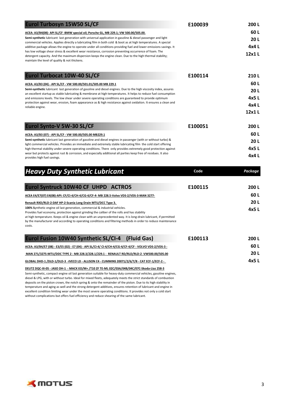| Eurol Turbosyn 15W50 SL/CF                                                                                                                                                                                                                                                                                                                                                                                                                                                                                                                                                 | E100039 | 200L    |
|----------------------------------------------------------------------------------------------------------------------------------------------------------------------------------------------------------------------------------------------------------------------------------------------------------------------------------------------------------------------------------------------------------------------------------------------------------------------------------------------------------------------------------------------------------------------------|---------|---------|
| ACEA: A3/B4(08)- API SL/CF -BMW special oil; Porsche GL, MB 229.1; VW 500.00/505.00.                                                                                                                                                                                                                                                                                                                                                                                                                                                                                       |         | 60 L    |
| Semi-synthetic lubricant last generation with universal application in gasoline & diesel passenger and light                                                                                                                                                                                                                                                                                                                                                                                                                                                               |         | 20L     |
| commercial vehicles. Applies directly a lubricating film in both cold & boot as at high temperatures. A special<br>additive package allows the engine to operate under all conditions providing fuel and lower emissions savings. It                                                                                                                                                                                                                                                                                                                                       |         | 4x4 L   |
| has low voltage shear stress & excellent wear resistance, corrosion preventing occurrence of foam. The                                                                                                                                                                                                                                                                                                                                                                                                                                                                     |         | 12x1L   |
| detergent capacity. And the maximum dispersion keeps the engine clean. Due to the high thermal stability;<br>maintain the level of quality & not thickens.                                                                                                                                                                                                                                                                                                                                                                                                                 |         |         |
| <b>Eurol Turbocat 10W-40 SL/CF</b>                                                                                                                                                                                                                                                                                                                                                                                                                                                                                                                                         | E100114 | 210L    |
| ACEA: A3/B3 (04) - API SL/CF - VW 500.00/501.01/505.00 MB 229.1                                                                                                                                                                                                                                                                                                                                                                                                                                                                                                            |         | 60 L    |
| Semi-synthetic lubricant last generation of gasoline and diesel engines. Due to the high viscosity index, assures                                                                                                                                                                                                                                                                                                                                                                                                                                                          |         | 20L     |
| an excellent startup as stable lubricating & membrane at high temperatures. It helps to reduce fuel consumption<br>and emissions levels. The low shear under severe operating conditions are guaranteed to provide optimum                                                                                                                                                                                                                                                                                                                                                 |         | 4x5 L   |
| protection against wear, erosion, foam appearance as & high resistance against oxidation. It ensures a clean and<br>reliable engine.                                                                                                                                                                                                                                                                                                                                                                                                                                       |         | 4x4 L   |
|                                                                                                                                                                                                                                                                                                                                                                                                                                                                                                                                                                            |         | 12x1L   |
| Eurol Synto-V 5W-30 SL/CF                                                                                                                                                                                                                                                                                                                                                                                                                                                                                                                                                  | E100051 | 200L    |
| ACEA: A3/B3 (07) - API SL/CF - VW 500.00/505.00 MB229.1                                                                                                                                                                                                                                                                                                                                                                                                                                                                                                                    |         | 60 L    |
| Semi-synthetic lubricant last generation of gasoline and diesel engines in passenger (with or without turbo) &                                                                                                                                                                                                                                                                                                                                                                                                                                                             |         | 20L     |
| light commercial vehicles. Provides an immediate and extremely stable lubricating film the cold start offering<br>high thermal stability under severe operating conditions. There only provides extremely good protection against                                                                                                                                                                                                                                                                                                                                          |         | 4x5L    |
| wear but protects against rust & corrosion, and especially additional all parties keep free of residues. It also<br>provides high fuel savings.                                                                                                                                                                                                                                                                                                                                                                                                                            |         | 4x4L    |
| <b>Heavy Duty Synthetic Lubricant</b>                                                                                                                                                                                                                                                                                                                                                                                                                                                                                                                                      | Code    | Package |
| Eurol Syntruck 10W40 CF UHPD ACTROS                                                                                                                                                                                                                                                                                                                                                                                                                                                                                                                                        | E100115 | 200L    |
| <u>ACEA E4/E7(07) E4(08)-API: CF/CI-4/CH-4/CG-4/CF-4- MB 228.5-Volvo VDS-2/VDS-3-MAN 3277-</u>                                                                                                                                                                                                                                                                                                                                                                                                                                                                             |         | 60 L    |
| Renault RXD/RLD-2-DAF HP-2-Scania Long Drain MTU/DCC Type 3.                                                                                                                                                                                                                                                                                                                                                                                                                                                                                                               |         | 20L     |
| 100% Synthetic engine oil last generation, commercial & industrial vehicles.                                                                                                                                                                                                                                                                                                                                                                                                                                                                                               |         | 4x5L    |
| Provides fuel economy, protection against grinding the caliber of the rolls and has stability<br>at high temperature. Keeps oil & engine clean with an unprecedented way. It is long-drain lubricant, if permitted<br>by the manufacturer and according to operating conditions and filtering methods in order to reduce maintenance<br>costs.                                                                                                                                                                                                                             |         |         |
| Eurol Fusion 10W40 Synthetic SL/CI-4<br>(Fluid Gas)                                                                                                                                                                                                                                                                                                                                                                                                                                                                                                                        | E100113 | 200L    |
| <u> ACEA: A3/B4/E7 (08) - E3/E5 (02) - E7 (04) - API SL/CI-4/ CI-4/CH-4/CG-4/CF-4/CF - VOLVO VDS-2/VDS-3 -</u>                                                                                                                                                                                                                                                                                                                                                                                                                                                             |         | 60L     |
| MAN 271/3275-MTU/DDC TYPE 2 - MB 228.3/228.1/229.1 - RENAULT RD/RLD/RLD-2 -VW500.00/505.00                                                                                                                                                                                                                                                                                                                                                                                                                                                                                 |         | 20L     |
| GLOBAL DHD-1 /DLD-1/DLD-3 -IVECO LD - ALLISON C4 - CUMMINS 20071/2/6/7/8 - CAT ECF-1/ECF-2 -                                                                                                                                                                                                                                                                                                                                                                                                                                                                               |         | 4x5L    |
| DEUTZ DQC-III-05 - JASO DH-1 - MACK EO/M+ /T10 ZF TE-ML 02C/03A/04B/04C/07C-Skoda-Liaz 258-3<br>Semi-synthetic, compact engine oil last generation suitable for heavy-duty commercial vehicles, gasoline engines,<br>diesel & LPG, with or without turbo. Ideal for mixed fleets, adequately meets the strict standards of combustion<br>deposits on the piston crown, the notch spring & onto the remainder of the piston. Due to its high stability in<br>temperature and aging as well and the strong detergent additives, ensures retention of lubricant and engine in |         |         |

excellent condition limiting wear under the most severe operating conditions. It provides not only a cold start without complications but offers fuel efficiency and reduce shearing of the same lubricant.

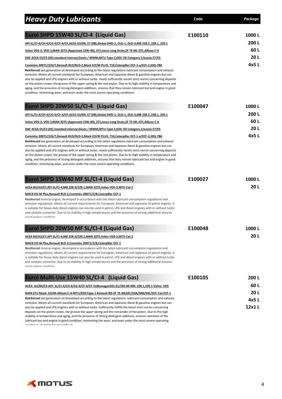| <b>Heavy Duty Lubricants</b>                                                                                                                                                                                                                                                                                                                                                                                                                                                                                                                                                                                                                                                                                                                                                         | Code    | Package |
|--------------------------------------------------------------------------------------------------------------------------------------------------------------------------------------------------------------------------------------------------------------------------------------------------------------------------------------------------------------------------------------------------------------------------------------------------------------------------------------------------------------------------------------------------------------------------------------------------------------------------------------------------------------------------------------------------------------------------------------------------------------------------------------|---------|---------|
| Eurol SHPD 15W40 SL/CI-4 (Liquid Gas)                                                                                                                                                                                                                                                                                                                                                                                                                                                                                                                                                                                                                                                                                                                                                | E100110 | 1000L   |
|                                                                                                                                                                                                                                                                                                                                                                                                                                                                                                                                                                                                                                                                                                                                                                                      |         | 200 L   |
| API SL/CI-4/CH-4/CG-4/CF-4/CF,ACEA A3/B4; E7 (08),Global DHD-1, DLD-1, DLD-3,MB 228.3, 228.1, 229.1                                                                                                                                                                                                                                                                                                                                                                                                                                                                                                                                                                                                                                                                                  |         | 60 L    |
| Volvo VDS-2, VDS-3, MAN 3275 (Approved 15W-40), 271, Iveco Long Drain, ZF TE-ML 07C, Allison C-4                                                                                                                                                                                                                                                                                                                                                                                                                                                                                                                                                                                                                                                                                     |         | 20L     |
| DAF ACEA E5/E3 (02) standard interval, Deutz / MWM, MTU Type 2, DDC Oil Category 2, Scania E7/E5                                                                                                                                                                                                                                                                                                                                                                                                                                                                                                                                                                                                                                                                                     |         | 4x5L    |
| Cummins 20071/2/6/7, Renault RLD/RLD-2, Mack EO/M PLUS, T10, Caterpillar ECF-1-a/ECF-2, JDQ-78A<br>Reinforced last generation oil developed according to the latest regulations lubricant consumption and exhaust<br>emission. Meets all current standards for European, American and Japanese diesel & gasoline engines but can<br>also be applied and LPG engines with or without turbo, meets sufficiently recent strict norms concerning deposits<br>on the piston crown, the groove of the upper spring & the rest piston. Due to its high stability in temperature and<br>aging, and the presence of strong detergent additives, ensures that they remain lubricant but and engine in good<br>condition, minimizing wear, and even under the most severe operating conditions. |         |         |
| Eurol SHPD 20W50 SL/CI-4 (Liquid Gas)                                                                                                                                                                                                                                                                                                                                                                                                                                                                                                                                                                                                                                                                                                                                                | E100047 | 1000L   |
| API SL/CI-4/CH-4/CG-4/CF-4/CF, ACEA A3/B4; E7 (08), Global DHD-1, DLD-1, DLD-3, MB 228.3, 228.1, 229.1                                                                                                                                                                                                                                                                                                                                                                                                                                                                                                                                                                                                                                                                               |         | 200L    |
| Volvo VDS-2, VDS-3, MAN 3275 (Approved 15W-40), 271, Iveco Long Drain, ZF TE-ML 07C, Allison C-4                                                                                                                                                                                                                                                                                                                                                                                                                                                                                                                                                                                                                                                                                     |         | 60 L    |
| DAF ACEA E5/E3 (02) standard interval, Deutz / MWM, MTU Type 2, DDC Oil Category 2, Scania E7/E5                                                                                                                                                                                                                                                                                                                                                                                                                                                                                                                                                                                                                                                                                     |         | 20L     |
| Cummins 20071/2/6/7, Renault RLD/RLD-2, Mack EO/M PLUS, T10, Caterpillar ECF-1-a/ECF-2, JDQ-78A<br>Reinforced last generation oil developed according to the latest regulations lubricant consumption and exhaust<br>emission. Meets all current standards for European, American and Japanese diesel & gasoline engines but can<br>also be applied and LPG engines with or without turbo. meets sufficiently recent strict norms concerning deposits<br>on the piston crown, the groove of the upper spring & the rest piston. Due to its high stability in temperature and<br>aging, and the presence of strong detergent additives, ensures that they remain lubricant but and engine in good<br>condition, minimizing wear, and even under the most severe operating conditions. |         | 4x5 L   |
| Eurol SHPD 15W40 MF SL/CI-4 (Liquid Gas)                                                                                                                                                                                                                                                                                                                                                                                                                                                                                                                                                                                                                                                                                                                                             | E100027 | 1000 L  |
| ACEA B3/A3/E7,API SL/CI-4,MB 228.3/229.1,MAN 3275, Volvo VDS-3,MTU Cat 2                                                                                                                                                                                                                                                                                                                                                                                                                                                                                                                                                                                                                                                                                                             |         | 20L     |
| MACK EO-M Plus, Renault RLD-2, Cummins 20071/2/8, Caterpillar ECF-1<br>Reinforced mineral engine, developed in accordance with the latest lubricant consumption regulations and<br>emission regulations. Meets all current requirements for European, American and Japanese oil petrol engines. It<br>is suitable for heavy-duty diesel engines can also be used in petrol, LPG and diesel engines with or without turbo<br>and catalytic converter. Due to its stability in high temperatures and the presence of strong additional ensures<br>annd anaine condition                                                                                                                                                                                                                |         |         |
| Eurol SHPD 20W50 MF SL/CI-4 (Liquid Gas)                                                                                                                                                                                                                                                                                                                                                                                                                                                                                                                                                                                                                                                                                                                                             | E100048 | 1000L   |
| ACEA B3/A3/E7, API SL/CI-4, MB 228.3/229.1, MAN 3275, Volvo VDS-3, MTU Cat 2                                                                                                                                                                                                                                                                                                                                                                                                                                                                                                                                                                                                                                                                                                         |         | 20L     |
| MACK EO-M Plus, Renault RLD-2, Cummins 20071/2/8, Caterpillar ECF-1<br><b>Reinforced</b> mineral engine, developed in accordance with the latest lubricant consumption regulations and<br>emission regulations. Meets all current requirements for European, American and Japanese oil petrol engines. It<br>is suitable for heavy-duty diesel engines can also be used in petrol, LPG and diesel engines with or without turbo<br>and catalytic converter. Due to its stability in high temperatures and the presence of strong additional ensures<br>annd anging condition                                                                                                                                                                                                         |         |         |
| Eurol Multi-Use 15W40 SL/CI-4 (Liquid Gas)                                                                                                                                                                                                                                                                                                                                                                                                                                                                                                                                                                                                                                                                                                                                           | E100105 | 200 L   |
| ACEA: A3/B4/E3-API: SL/CI-4/CH-4/CG-4/CF-4/CF-Volkswagen501.01/505.00-MB: 228.1,229.1-Volvo: VDS                                                                                                                                                                                                                                                                                                                                                                                                                                                                                                                                                                                                                                                                                     |         | 60L     |
| MAN:271-Mack: EO/M-Allison:C-4-MTU/DDCType 1-Renault RD-ZF TE-ML02C/03A/04B/04C/07C-Cat ECF-1                                                                                                                                                                                                                                                                                                                                                                                                                                                                                                                                                                                                                                                                                        |         | 20L     |
| Reinforced last generation oil developed according to the latest regulations lubricant consumption and exhaust<br>emission. Meets all current standards for European, American and Japanese diesel & gasoline engines but can                                                                                                                                                                                                                                                                                                                                                                                                                                                                                                                                                        |         | 4x5L    |
| also be applied and LPG engines with or without turbo. Sufficiently fulfills the latest strict norms concerning<br>deposits on the piston crown, the groove the upper spring and the remainder of the piston. Due to the high<br>stability in temperature and aging, and the presence of strong detergent additives, ensures retention of the                                                                                                                                                                                                                                                                                                                                                                                                                                        |         | 12x1L   |



conditions. Auto-left for mixed floots.<br>.

lubricant but and engine in good condition, minimizing the wear, and even under the most severe operating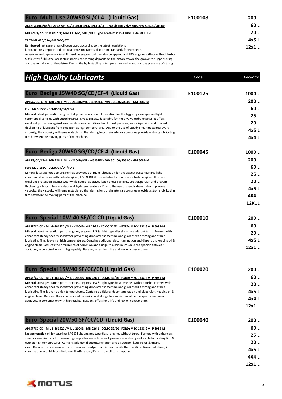| Eurol Multi-Use 20W50 SL/CI-4 (Liquid Gas)                                                                                                                                                                                                                                                                                                                                                                                                                                                                                       | E100108 | 200L           |
|----------------------------------------------------------------------------------------------------------------------------------------------------------------------------------------------------------------------------------------------------------------------------------------------------------------------------------------------------------------------------------------------------------------------------------------------------------------------------------------------------------------------------------|---------|----------------|
| ACEA: A3/B3/B4/E3-2002-API: SL/CI-4/CH-4/CG-4/CF-4/CF- Renault RD; Volvo VDS; VW 501.00/505.00                                                                                                                                                                                                                                                                                                                                                                                                                                   |         | 60 L           |
| MB 228.1/229.1; MAN 271; MACK EO/M, MTU/DCC Type 1-Volvo: VDS-Allison: C-4-Cat ECF-1                                                                                                                                                                                                                                                                                                                                                                                                                                             |         | 20L            |
| ZF TE-ML 02C/03A/04B/04C/07C                                                                                                                                                                                                                                                                                                                                                                                                                                                                                                     |         | 4x5L           |
| Reinforced last generation oil developed according to the latest regulations<br>lubricant consumption and exhaust emission. Meets all current standards for European,<br>American and Japanese diesel & gasoline engines but can also be applied and LPG engines with or without turbo.<br>Sufficiently fulfills the latest strict norms concerning deposits on the piston crown, the groove the upper spring<br>and the remainder of the piston. Due to the high stability in temperature and aging, and the presence of strong |         | 12x1L          |
| <b>High Quality Lubricants</b>                                                                                                                                                                                                                                                                                                                                                                                                                                                                                                   | Code    | <b>Package</b> |
|                                                                                                                                                                                                                                                                                                                                                                                                                                                                                                                                  |         |                |
| Eurol Bediga 15W40 SG/CD/CF-4 (Liquid Gas)                                                                                                                                                                                                                                                                                                                                                                                                                                                                                       | E100125 | 1000L          |
| API SG/CD/CF-4 - MB 228.1 MIL-L-2104D/MIL-L-46152EC - VW 501.00/505.00 - GM 6085-M                                                                                                                                                                                                                                                                                                                                                                                                                                               |         | 200L           |
| Ford M2C-153C - CCMC G4/D4/PD-2                                                                                                                                                                                                                                                                                                                                                                                                                                                                                                  |         | 60 L           |
| Mineral latest generation engine that provides optimum lubrication for the biggest passenger and light<br>commercial vehicles with petrol engines, LPG & DIESEL, & suitable for multi-valve turbo engines. It offers                                                                                                                                                                                                                                                                                                             |         | 25L            |
| excellent protection against wear while special additives lead to rust particles, soot dispersion and prevent                                                                                                                                                                                                                                                                                                                                                                                                                    |         | 20L            |
| thickening of lubricant from oxidation at high temperatures. Due to the use of steady shear index improvers<br>viscosity, the viscosity will remain stable, so that during long drain intervals continue provide a strong lubricating                                                                                                                                                                                                                                                                                            |         | 4x5L           |
| film between the moving parts of the machine.                                                                                                                                                                                                                                                                                                                                                                                                                                                                                    |         | 4x4L           |
| Eurol Bediga 20W50 SG/CD/CF-4 (Liquid Gas)                                                                                                                                                                                                                                                                                                                                                                                                                                                                                       | E100045 | 1000L          |
| API SG/CD/CF-4 - MB 228.1 MIL-L-2104D/MIL-L-46152EC - VW 501.00/505.00 - GM 6085-M                                                                                                                                                                                                                                                                                                                                                                                                                                               |         | 200L           |
| Ford M2C-153C - CCMC G4/D4/PD-2                                                                                                                                                                                                                                                                                                                                                                                                                                                                                                  |         | 60 L           |
| Mineral latest generation engine that provides optimum lubrication for the biggest passenger and light                                                                                                                                                                                                                                                                                                                                                                                                                           |         | 25 L           |
| commercial vehicles with petrol engines, LPG & DIESEL, & suitable for multi-valve turbo engines. It offers<br>excellent protection against wear while special additives lead to rust particles, soot dispersion and prevent                                                                                                                                                                                                                                                                                                      |         | 20L            |
| thickening lubricant from oxidation at high temperatures. Due to the use of steady shear index improvers<br>viscosity, the viscosity will remain stable, so that during long drain intervals continue provide a strong lubricating                                                                                                                                                                                                                                                                                               |         | 4x5L           |
| film between the moving parts of the machine.                                                                                                                                                                                                                                                                                                                                                                                                                                                                                    |         | 4X4 L          |
|                                                                                                                                                                                                                                                                                                                                                                                                                                                                                                                                  |         | <b>12X1L</b>   |
| Eurol Special 10W-40 SF/CC-CD (Liquid Gas)                                                                                                                                                                                                                                                                                                                                                                                                                                                                                       | E100010 | 200L           |
| API SF/CC-CD - MIL-L-46152C /MIL-L-2104B -MB 226.1 - CCMC G2/D1 - FORD: M2C-153C GM: P 6085-M                                                                                                                                                                                                                                                                                                                                                                                                                                    |         | 60L            |
| Mineral latest generation petrol engines, engines LPG & Light type diesel engines without turbo. Formed with                                                                                                                                                                                                                                                                                                                                                                                                                     |         | 20L            |
| enhancers steady shear viscosity for preventing drop after some time and guarantees a strong and stable<br>lubricating film, & even at high temperatures. Contains additional decontamination and dispersion, keeping oil &                                                                                                                                                                                                                                                                                                      |         | 4x5L           |
| engine clean. Reduces the occurrence of corrosion and sludge to a minimum while the specific antiwear<br>additives, in combination with high quality. Base oil, offers long life and low oil consumption.                                                                                                                                                                                                                                                                                                                        |         | 12x1L          |
| Eurol Special 15W40 SF/CC/CD (Liquid Gas)                                                                                                                                                                                                                                                                                                                                                                                                                                                                                        | E100020 | 200L           |
| API SF/CC-CD - MIL-L-46152C /MIL-L-2104B - MB 226.1 - CCMC G2/D1 -FORD: M2C-153C GM: P 6085-M                                                                                                                                                                                                                                                                                                                                                                                                                                    |         | 60L            |
| Mineral latest generation petrol engines, engines LPG & Light type diesel engines without turbo. Formed with                                                                                                                                                                                                                                                                                                                                                                                                                     |         | 20L            |
| enhancers steady shear viscosity for preventing drop after some time and guarantees a strong and stable<br>lubricating film & even at high temperatures. Contains additional decontamination and dispersion, keeping oil &                                                                                                                                                                                                                                                                                                       |         | 4x5L           |
| engine clean. Reduces the occurrence of corrosion and sludge to a minimum while the specific antiwear                                                                                                                                                                                                                                                                                                                                                                                                                            |         | 4x4L           |
| additives, in combination with high quality. Base oil, offers long life and low oil consumption.                                                                                                                                                                                                                                                                                                                                                                                                                                 |         | 12x1L          |
| Eurol Special 20W50 SF/CC/CD (Liquid Gas)                                                                                                                                                                                                                                                                                                                                                                                                                                                                                        | E100040 | 200L           |
| <u>API SF/CC-CD - MIL-L-46152C /MIL-L-2104B - MB 226.1 - CCMC G2/D1 -FORD: M2C-153C GM: P 6085-M</u>                                                                                                                                                                                                                                                                                                                                                                                                                             |         | 60L            |
| Last generation oil for gasoline, LPG & light engines type diesel engines without turbo. Formed with enhancers                                                                                                                                                                                                                                                                                                                                                                                                                   |         | 25L            |
| steady shear viscosity for preventing drop after some time and guarantees a strong and stable lubricating film &<br>even at high temperatures. Contains additional decontamination and dispersion, keeping oil & engine                                                                                                                                                                                                                                                                                                          |         | 20L            |
| clean.Reduce the occurrence of corrosion and sludge to a minimum while the specific antiwear additives, in<br>combination with high quality base oil, offers long life and low oil consumption.                                                                                                                                                                                                                                                                                                                                  |         | 4x5L           |
|                                                                                                                                                                                                                                                                                                                                                                                                                                                                                                                                  |         | 4X4 L          |
|                                                                                                                                                                                                                                                                                                                                                                                                                                                                                                                                  |         | 12x1L          |

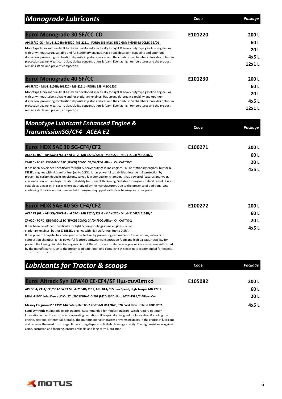| <b>Monograde Lubricants</b>                                                                                                                                                                                                                                                                                                                                                                                                                                                                                                                                                                                                                                                                                                 | Code    | Package        |
|-----------------------------------------------------------------------------------------------------------------------------------------------------------------------------------------------------------------------------------------------------------------------------------------------------------------------------------------------------------------------------------------------------------------------------------------------------------------------------------------------------------------------------------------------------------------------------------------------------------------------------------------------------------------------------------------------------------------------------|---------|----------------|
| <b>Eurol Monograde 30 SF/CC-CD</b>                                                                                                                                                                                                                                                                                                                                                                                                                                                                                                                                                                                                                                                                                          | E101220 | 200 L          |
| API SF/CC-CD - MIL-L-2104B/46152C MB 226.1 - FORD: ESE-M2C-153C GM: P 6085-M CCMC G2/D1                                                                                                                                                                                                                                                                                                                                                                                                                                                                                                                                                                                                                                     |         | 60 L           |
| Monotype lubricant quality. It has been developed specifically for light & heavy duty type gasoline engine - oil                                                                                                                                                                                                                                                                                                                                                                                                                                                                                                                                                                                                            |         | 20L            |
| with or without turbo, suitable and for stationary engines. Has strong detergent capability and optimum<br>dispersion, preventing combustion deposits in pistons, valves and the combustion chambers. Provides optimum                                                                                                                                                                                                                                                                                                                                                                                                                                                                                                      |         | 4x5 L          |
| protection against wear, corrosion, sludge concentration & foam. Even at high temperatures and the product<br>remains stable and prevent compaction.                                                                                                                                                                                                                                                                                                                                                                                                                                                                                                                                                                        |         | 12x1L          |
| <b>Eurol Monograde 40 SF/CC</b>                                                                                                                                                                                                                                                                                                                                                                                                                                                                                                                                                                                                                                                                                             | E101230 | 200L           |
| API SF/CC - MIL-L-2104B/46152C - MB 226.1 - FORD: ESE-M2C-153C                                                                                                                                                                                                                                                                                                                                                                                                                                                                                                                                                                                                                                                              |         | 60 L           |
| Monotype lubricant quality. It has been developed specifically for light & heavy duty type gasoline engine - oil                                                                                                                                                                                                                                                                                                                                                                                                                                                                                                                                                                                                            |         | 20L            |
| with or without turbo, suitable and for stationary engines. Has strong detergent capability and optimum<br>dispersion, preventing combustion deposits in pistons, valves and the combustion chambers. Provides optimum                                                                                                                                                                                                                                                                                                                                                                                                                                                                                                      |         | 4x5 L          |
| protection against wear, corrosion, sludge concentration & foam. Even at high temperatures and the product<br>remains stable and prevent compaction.                                                                                                                                                                                                                                                                                                                                                                                                                                                                                                                                                                        |         | 12x1L          |
| <b>Monotype Lubricant Enhanced Engine &amp;</b>                                                                                                                                                                                                                                                                                                                                                                                                                                                                                                                                                                                                                                                                             |         |                |
| TransmissionSG/CF4 ACEA E2                                                                                                                                                                                                                                                                                                                                                                                                                                                                                                                                                                                                                                                                                                  | Code    | <b>Package</b> |
| Eurol HDX SAE 30 SG-CF4/CF2                                                                                                                                                                                                                                                                                                                                                                                                                                                                                                                                                                                                                                                                                                 | E100271 | 200 L          |
| ACEA E2 (02) - API SG/CF/CF-4 and CF-2 - MB 227.0/228.0 - MAN 270 - MIL-L-2104E/46152B/C                                                                                                                                                                                                                                                                                                                                                                                                                                                                                                                                                                                                                                    |         | 60L            |
| ZF-02C - FORD: ESE-M2C-153C (SF/CD) CCMC: G4/D4/PD2 Allison C4, CAT TO-2                                                                                                                                                                                                                                                                                                                                                                                                                                                                                                                                                                                                                                                    |         | 20L            |
| It has been developed specifically for light & heavy-duty gasoline engines - oil on stationary engines, but for &<br>DIESEL engines with high sulfur fuel (up to 0.5%). It has powerful capabilities detergent & protection by<br>preventing carbon deposits on pistons, valves & in combustion chamber. It has powerful features anti-wear,<br>concentration & foam high oxidation stability for prevent thickening. Suitable for engines Detroit Diesel. It is also<br>suitable as a gear oil in cases where authorized by the manufacturer. Due to the presence of additional zinc-<br>containing this oil is not recommended for engines equipped with silver bearings or other parts.                                  |         | 4x5L           |
| Eurol HDX SAE 40 SG-CF4/CF2                                                                                                                                                                                                                                                                                                                                                                                                                                                                                                                                                                                                                                                                                                 | E100272 | 200 L          |
| ACEA E2 (02) - API SG/CF/CF-4 and CF-2 - MB 227.0/228.0 - MAN 270 - MIL-L-2104E/46152B/C                                                                                                                                                                                                                                                                                                                                                                                                                                                                                                                                                                                                                                    |         | 60 L           |
| ZF-02C - FORD: ESE-M2C-153C (SF/CD) CCMC: G4/D4/PD2 Allison C4, CAT TO-2                                                                                                                                                                                                                                                                                                                                                                                                                                                                                                                                                                                                                                                    |         | 20L            |
| It has been developed specifically for light & heavy-duty gasoline engines - oil on<br>stationary engines, but for & DIESEL engines with high sulfur fuel (up to 0.5%).<br>It has powerful capabilities detergent & protection by preventing carbon deposits on pistons, valves & in<br>combustion chamber. It has powerful features antiwear concentration foam and high oxidation stability for<br>prevent thickening. Suitable for engines Detroit Diesel. It is also suitable as a gear oil in cases where authorized<br>by the manufacturer. Due to the presence of additional zinc-containing this oil is not recommended for engines<br>وتعلموني والمستطيعات والمستوين والمتحدث والمتحدث والعقدوة المستحدث والمستحدث |         | 4x5 L          |
| <b>Lubricants for Tractor &amp; scoops</b>                                                                                                                                                                                                                                                                                                                                                                                                                                                                                                                                                                                                                                                                                  | Code    | Package        |
| Eurol Altrack Syn 10W40 CE-CF4/SF Ημι-συνθετικό                                                                                                                                                                                                                                                                                                                                                                                                                                                                                                                                                                                                                                                                             | E105082 | 200L           |
| API:CG-4/ CF-4/ CE /SF ACEA E3 MIL-L-2104D/2105, API: GL4/GL5 Low Speed/High Torque MB 227.1                                                                                                                                                                                                                                                                                                                                                                                                                                                                                                                                                                                                                                |         | 60L            |

**MIL-L-2104D John Deere JDM-J27, J20C FNHA-2-C-201 (M2C-134D) Ford M2C-159B/C Allison C-4 20 L Massey Ferguson M 1139/1144 Caterpillar TO-2 ZF-TE-ML 06A/B/C, 07B Ford New Holland 82009202 4x5 L Semi-synthetic** multigrade oil for tractors. Recommended for modern tractors, which require optimum

lubrication under the most severe operating conditions. It is specially designed for lubrication & cooling the engine, gearbox, differential & brake. The multifunctional character prevents mistakes in the choice of lubricant and reduces the need for storage. It has strong dispersion & High cleaning capacity. The high resistance against aging, corrosion and foaming, ensures reliable and long-term lubrication.

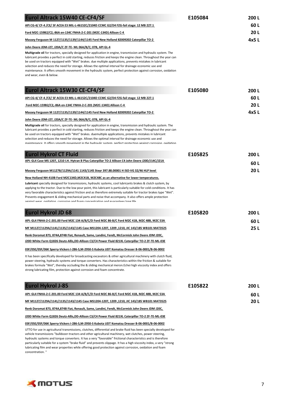| Eurol Altrack 15W40 CE-CF4/SF                                                                                                                                                                                                                                                                                                                                                                                                                                                                                                                                                                                | E105084 | 200 L |
|--------------------------------------------------------------------------------------------------------------------------------------------------------------------------------------------------------------------------------------------------------------------------------------------------------------------------------------------------------------------------------------------------------------------------------------------------------------------------------------------------------------------------------------------------------------------------------------------------------------|---------|-------|
| API CG-4/ CF-4 /CE/ SF ACEA E3 MIL-L-46152C/2104D CCMC G2/D4 FZG-fail stage: 12 MB 227.1                                                                                                                                                                                                                                                                                                                                                                                                                                                                                                                     |         | 60 L  |
| Ford M2C-159B2/C2,-86A en-134C FNHA-2-C-201 (M2C-134D) Allison C-4                                                                                                                                                                                                                                                                                                                                                                                                                                                                                                                                           |         | 20L   |
| Massey Ferguson M 1127/1135/1139/1144/1145 Ford New Holland 82009202 Caterpillar TO-2                                                                                                                                                                                                                                                                                                                                                                                                                                                                                                                        |         | 4x5L  |
| John Deere JDM-J27, J20A/C ZF-TE- ML 06A/B/C; 07B, API GL-4                                                                                                                                                                                                                                                                                                                                                                                                                                                                                                                                                  |         |       |
| Multigrade oil for tractors, specially designed for application in engine, transmission and hydraulic system. The<br>lubricant provides a perfect in cold starting, reduces friction and keeps the engine clean. Throughout the year can<br>be used on tractors equipped with "Wet" brakes. due multiple applications, prevents mistakes in lubricant<br>selection and reduces the need for storage. Allows the optimal interval for drainage economic use and<br>maintenance. It offers smooth movement in the hydraulic system, perfect protection against corrosion, oxidation<br>and wear, even & below. |         |       |
| Eurol Altrack 15W30 CE-CF4/SF                                                                                                                                                                                                                                                                                                                                                                                                                                                                                                                                                                                | E105080 | 200 L |
| API CG-4/ CF-4/CE/ SF ACEA E3 MIL-L-46152C/2104D CCMC G2/D4 FZG-fail stage: 12 MB 227.1                                                                                                                                                                                                                                                                                                                                                                                                                                                                                                                      |         | 60 L  |
| Ford M2C-159B2/C2,-86A en-134C FNHA-2-C-201 (M2C-134D) Allison C-4                                                                                                                                                                                                                                                                                                                                                                                                                                                                                                                                           |         | 20L   |
| Massey Ferguson M 1127/1135/1139/1144/1145 Ford New Holland 82009202 Caterpillar TO-2                                                                                                                                                                                                                                                                                                                                                                                                                                                                                                                        |         | 4x5 L |
| <u>John Deere JDM-J27, J20A/C ZF-TE- ML 06A/B/C; 07B, API GL-4</u>                                                                                                                                                                                                                                                                                                                                                                                                                                                                                                                                           |         |       |
| Multigrade oil for tractors, specially designed for application in engine, transmission and hydraulic system. The<br>lubricant provides a perfect in cold starting, reduces friction and keeps the engine clean. Throughout the year can<br>be used on tractors equipped with "Wet" brakes, duemultiple applications, prevents mistakes in lubricant<br>selection and reduces the need for storage. Allows the optimal interval for drainage economic use and<br>maintenance. It offers smooth movement in the hydraulic system nerfect protection against corrosion oxidation                               |         |       |
| <b>Eurol Hykrol CT Fluid</b>                                                                                                                                                                                                                                                                                                                                                                                                                                                                                                                                                                                 | E105825 | 200 L |
| API: GL4 Case MS 1207, 1210 I.H. Hytran B Plus Caterpillar TO-2 Allison C4 John Deere J20D/J14C/J21A                                                                                                                                                                                                                                                                                                                                                                                                                                                                                                         |         | 60 L  |
| Massey Ferguson M1127B/1129A/1141 1143/1145 Steyr 397.88.00001 H ISO-VG 32/46 HLP level                                                                                                                                                                                                                                                                                                                                                                                                                                                                                                                      |         | 20L   |
| New Holland NH-410B Ford M2C134D, M2C41B, M2C48C as an alternative for lower temperatures.                                                                                                                                                                                                                                                                                                                                                                                                                                                                                                                   |         |       |
| Lubricant specially designed for transmissions, hydraulic systems, cool lubricants brakes & clutch system, by<br>applying to the tractor. Due to the low pour point, this lubricant is particularly suitable for cold conditions. It has<br>very favorable characteristics against friction and as therefore extremely suitable for tractor brakes type "Wet".<br>Prevents engagement & sliding mechanical parts and noise that accompany. It also offers ample protection<br>aginet wear ovidation corrosion and foam concentration and missentees long life                                                |         |       |
| <b>Eurol Hykrol JD 68</b>                                                                                                                                                                                                                                                                                                                                                                                                                                                                                                                                                                                    | E105820 | 200 L |
| API: GL4 FNHA-2-C-201.00 Ford M2C 134 A/B/C/D Ford M2C 86-B/C Ford M2C 41B, M2C 48B, M2C 53A                                                                                                                                                                                                                                                                                                                                                                                                                                                                                                                 |         | 60 L  |
| MF M1127/1129A/1141/1135/1143/1145 Case MS1204-1207, 1209 ,1210, JIC 143/185 WB101 MAT3525                                                                                                                                                                                                                                                                                                                                                                                                                                                                                                                   |         | 25L   |
| Renk Doromat 873, 874A, 874B Fiat, Renault, Same, Landini, Fendt, McCormick John Deere JDM J20C,<br>J20D White Farm Q1826 Deutz-Allis, DD-Allison C3/C4 Power Fluid 821XL Caterpillar TO-2 ZF-TE-ML-03E                                                                                                                                                                                                                                                                                                                                                                                                      |         |       |
| 03F/05E/05F/06K Sperry-Vickers I-286-S,M-2950-S Kubota UDT Komatsu Dresser B-06-0001/B-06-0002                                                                                                                                                                                                                                                                                                                                                                                                                                                                                                               |         |       |
| It has been specifically developed for broadcasting excavators & other agricultural machinery with clutch fluid,<br>power steering, hydraulic systems and torque converters. Has characteristics within the friction & suitable for<br>brakes formula "Wet", thereby occluding the & sliding mechanical meron. Echei high viscosity index and offers<br>strong lubricating film, protection against corrosion and foam concentrate.                                                                                                                                                                          |         |       |
| <b>Eurol Hykrol J-85</b>                                                                                                                                                                                                                                                                                                                                                                                                                                                                                                                                                                                     | E105822 | 200 L |
| API: GL4 FNHA-2-C-201.00 Ford M2C 134 A/B/C/D Ford M2C 86-B/C Ford M2C 41B, M2C 48B, M2C 53A                                                                                                                                                                                                                                                                                                                                                                                                                                                                                                                 |         | 60 L  |
| MF M1127/1129A/1141/1135/1143/1145 Case MS1204-1207, 1209 ,1210, JIC 143/185 WB101 MAT3525                                                                                                                                                                                                                                                                                                                                                                                                                                                                                                                   |         | 20L   |
| Renk Doromat 873, 874A, 874B Fiat, Renault, Same, Landini, Fendt, McCormick John Deere JDM J20C,                                                                                                                                                                                                                                                                                                                                                                                                                                                                                                             |         |       |
| J20D White Farm Q1826 Deutz-Allis, DD-Allison C3/C4 Power Fluid 821XL Caterpillar TO-2 ZF-TE-ML-03E                                                                                                                                                                                                                                                                                                                                                                                                                                                                                                          |         |       |
| 03F/05E/05F/06K Sperry-Vickers I-286-S,M-2950-S Kubota UDT Komatsu Dresser B-06-0001/B-06-0002                                                                                                                                                                                                                                                                                                                                                                                                                                                                                                               |         |       |
| UTTO for use in agricultural transmissions, clutches, differential and brake fluid has been specially developed for<br>vehicle transmissions "bulldozer-tractors and other agricultural machinery, wet clutches, power steering,<br>hydraulic systems and torque converters. It has a very "favorable" frictional characteristics and is therefore<br>particularly suitable for a system "brake fluid" and prevents slippage. It has a high viscosity index, a very "strong<br>lubricating film and wear properties while offering good protection against corrosion, oxidation and foam<br>concentration."  |         |       |

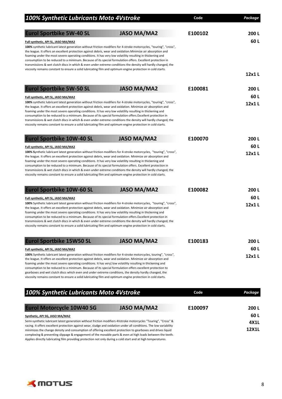| <b>100% Synthetic Lubricants Moto 4Vstroke</b>                                                                                                                                                                                                                                                                                                                                                                                                                                                                                                                                                                                                                                                                                           |                    | Code    | Package       |
|------------------------------------------------------------------------------------------------------------------------------------------------------------------------------------------------------------------------------------------------------------------------------------------------------------------------------------------------------------------------------------------------------------------------------------------------------------------------------------------------------------------------------------------------------------------------------------------------------------------------------------------------------------------------------------------------------------------------------------------|--------------------|---------|---------------|
| <b>Eurol Sportbike 5W-40 SL</b>                                                                                                                                                                                                                                                                                                                                                                                                                                                                                                                                                                                                                                                                                                          | <b>JASO MA/MA2</b> | E100102 | 200L          |
| <b>Full synthetic, API SL, JASO MA/MA2</b><br>100% synthetic lubricant latest generation without friction modifiers for 4-stroke motorcycles, "touring", "cross",<br>the league. It offers an excellent protection against debris, wear and oxidation. Minimize air absorption and<br>foaming under the most severe operating conditions. It has very low volatility resulting in thickening and<br>consumption to be reduced to a minimum. Because of its special formulation offers. Excellent protection in<br>transmissions & wet clutch discs in which & even under extreme conditions the density will hardly changed, the                                                                                                         |                    |         | 60L           |
| viscosity remains constant to ensure a solid lubricating film and optimum engine protection in cold starts.                                                                                                                                                                                                                                                                                                                                                                                                                                                                                                                                                                                                                              |                    |         | 12x1L         |
| <b>Eurol Sportbike 5W-50 SL</b>                                                                                                                                                                                                                                                                                                                                                                                                                                                                                                                                                                                                                                                                                                          | <b>JASO MA/MA2</b> | E100081 | 200L          |
| Full synthetic, API SL, JASO MA/MA2<br>100% synthetic lubricant latest generation without friction modifiers for 4-stroke motorcycles, "touring", "cross",<br>the league. It offers an excellent protection against debris, wear and oxidation. Minimize air absorption and<br>foaming under the most severe operating conditions. It has very low volatility resulting in thickening and<br>consumption to be reduced to a minimum. Because of its special formulation offers. Excellent protection in<br>transmissions & wet clutch discs in which & even under extreme conditions the density will hardly changed, the<br>viscosity remains constant to ensure a solid lubricating film and optimum engine protection in cold starts. |                    |         | 60L<br>12x1L  |
| <b>Eurol Sportbike 10W-40 SL</b><br>Full synthetic, API SL, JASO MA/MA2                                                                                                                                                                                                                                                                                                                                                                                                                                                                                                                                                                                                                                                                  | <b>JASO MA/MA2</b> | E100070 | 200L<br>60L   |
| 100% Synthetic lubricant latest generation without friction modifiers for 4-stroke motorcycles, "touring", "cross",<br>the league. It offers an excellent protection against debris, wear and oxidation. Minimize air absorption and<br>foaming under the most severe operating conditions. It has very low volatility resulting in thickening and<br>consumption to be reduced to a minimum. Because of its special formulation offers. Excellent protection in<br>transmissions & wet clutch discs in which & even under extreme conditions the density will hardly changed, the<br>viscosity remains constant to ensure a solid lubricating film and optimum engine protection in cold starts.                                        |                    |         | 12x1L         |
| <b>Eurol Sportbike 10W-60 SL</b>                                                                                                                                                                                                                                                                                                                                                                                                                                                                                                                                                                                                                                                                                                         | <b>JASO MA/MA2</b> | E100082 | 200L          |
| Full synthetic, API SL, JASO MA/MA2<br>100% Synthetic lubricant latest generation without friction modifiers for 4-stroke motorcycles, "touring", "cross",<br>the league. It offers an excellent protection against debris, wear and oxidation. Minimize air absorption and<br>foaming under the most severe operating conditions. It has very low volatility resulting in thickening and<br>consumption to be reduced to a minimum. Because of its special formulation offers. Excellent protection in<br>transmissions & wet clutch discs in which & even under extreme conditions the density will hardly changed, the<br>viscosity remains constant to ensure a solid lubricating film and optimum engine protection in cold starts. |                    |         | 60 L<br>12x1L |
| <b>Eurol Sportbike 15W50 SL</b>                                                                                                                                                                                                                                                                                                                                                                                                                                                                                                                                                                                                                                                                                                          | <b>JASO MA/MA2</b> | E100183 | 200 L         |
| Full synthetic, API SL, JASO MA/MA2<br>100% Synthetic lubricant latest generation without friction modifiers for 4-stroke motorcycles, touring", "cross",<br>the league. It offers an excellent protection against debris, wear and oxidation. Minimize air absorption and<br>foaming under the most severe operating conditions. It has very] low volatility resulting in thickening and<br>consumption to be reduced to a minimum. Because of its special formulation offers excellent protection to<br>gearboxes and wet clutch discs which even and under extreme conditions, the density hardly changed, the<br>viscosity remains constant to ensure a solid lubricating film and optimum engine protection in cold starts.         |                    |         | 60 L<br>12x1L |
| 100% Synthetic Lubricants Moto 4Vstroke                                                                                                                                                                                                                                                                                                                                                                                                                                                                                                                                                                                                                                                                                                  |                    | Code    | Package       |

| <b>Eurol Motorcycle 10W40 SG</b>                                                                                    | <b>JASO MA/MA2</b> | E100097 | 200 L        |
|---------------------------------------------------------------------------------------------------------------------|--------------------|---------|--------------|
| Synthetic, API SG, JASO MA/MA2                                                                                      |                    |         | 60 L         |
| Semi-synthetic lubricant latest generation without friction modifiers 4Vstroke motorcycles "Touring", "Cross" &     |                    |         | 4X1L         |
| racing. It offers excellent protection against wear, sludge and oxidation under all conditions. The low variability |                    |         |              |
| minimizes the change density and consumption of offering excellent protection to gearboxes and drives liquid        |                    |         | <b>12X1L</b> |
| complexing & preventing slippage & engagement of the movable parts & even at high loads between the teeth.          |                    |         |              |
| Applies directly lubricating film providing protection not only during a cold start and at high temperatures.       |                    |         |              |

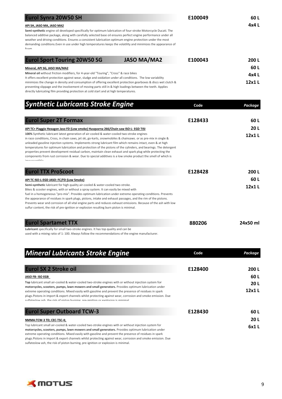| <b>Eurol Synra 20W50 SH</b>                                                                                                                                                                                                                                                                                                                                                                                                             |                    | E100049 | 60 L   |  |
|-----------------------------------------------------------------------------------------------------------------------------------------------------------------------------------------------------------------------------------------------------------------------------------------------------------------------------------------------------------------------------------------------------------------------------------------|--------------------|---------|--------|--|
| API SH, JASO MA, JASO MA2<br>Semi-synthetic engine oil developed specifically for optimum lubrication of four-stroke Motorcycle Ducati. The<br>balanced additive package, along with carefully selected base oil ensures perfect engine performance under all<br>weather and driving conditions. Ensures a consistent lubrication optimum engine protection under the most                                                              |                    | 4x4 L   |        |  |
| demanding conditions. Even in use under high temperatures keeps the volatility and minimizes the appearance of<br>$fO$ am                                                                                                                                                                                                                                                                                                               |                    |         |        |  |
| <b>Eurol Sport Touring 20W50 SG</b>                                                                                                                                                                                                                                                                                                                                                                                                     | <b>JASO MA/MA2</b> | E100043 | 200 L  |  |
| Mineral, API SG, JASO MA/MA2                                                                                                                                                                                                                                                                                                                                                                                                            |                    |         |        |  |
| Mineral oil without friction modifiers, for 4-year-old "Touring", "Cross" & race bikes                                                                                                                                                                                                                                                                                                                                                  |                    |         |        |  |
| It offers excellent protection against wear, sludge and oxidation under all conditions. The low variability<br>minimizes the change in density and consumption of offering excellent protection gearboxes & discs wet clutch &<br>preventing slippage and the involvement of moving parts still in & high loadings between the teeth. Applies<br>directly lubricating film providing protection at cold start and at high temperatures. |                    |         | 12x1 L |  |

| <b>Synthetic Lubricants Stroke Engine</b>                                                                                                                                                                                                                                                                                                                                                                                                                                                                                                                                                                                                                                                    | Code    | Package |
|----------------------------------------------------------------------------------------------------------------------------------------------------------------------------------------------------------------------------------------------------------------------------------------------------------------------------------------------------------------------------------------------------------------------------------------------------------------------------------------------------------------------------------------------------------------------------------------------------------------------------------------------------------------------------------------------|---------|---------|
| <b>Eurol Super 2T Formax</b>                                                                                                                                                                                                                                                                                                                                                                                                                                                                                                                                                                                                                                                                 | E128433 | 60 L    |
| API TC+ Piaggio Hexagon Jaso FD (Low smoke) Husqvarna 266/Chain saw ISO-L- EGD TISI                                                                                                                                                                                                                                                                                                                                                                                                                                                                                                                                                                                                          |         | 20 L    |
| 100% Synthetic lubricant latest generation of air-cooled & water-cooled two-stroke engines<br>in race conditions, Cross, in chain saws, jet ski, go-karts, snowmobiles & chainsaws. or as pre-mix in single &<br>unleaded gasoline injection systems. Implements strong lubricant film which remains intact, even & at high<br>temperatures for optimum lubrication and protection of the pistons of the cylinders, and bearings. The detergent<br>properties prevent development residual carbon, maintain clean exhaust and spark plug while protecting the<br>components from rust corrosion & wear. Due to special additives is a low smoke product the smell of which is<br>ماطاخمممممس |         | 12x1 L  |
| <b>Eurol TTX ProScoot</b>                                                                                                                                                                                                                                                                                                                                                                                                                                                                                                                                                                                                                                                                    | E128428 | 200 L   |
| API TC ISO-L-EGD JASO: FC/FD (Low Smoke)                                                                                                                                                                                                                                                                                                                                                                                                                                                                                                                                                                                                                                                     |         | 60 L    |
| Semi-synthetic lubricant for high quality air-cooled & water-cooled two-stroke.<br>Bikes & scooter engines, with or without a spray system. It can easily be mixed with<br>fuel in a homogeneous "pro-mix". Provides optimum lubrication under extreme operating conditions. Prevents<br>the appearance of residues in spark plugs, pistons, intake and exhaust passages, and the rim of the pistons.<br>Prevents wear and corrosion of all vital engine parts and reduces exhaust emissions. Because of the ash with low<br>sulfur content, the risk of pre-ignition or explosion resulting burn piston is minimal.                                                                         |         | 12x1L   |

| <b>Eurol Spartamet TTX</b>                                                                       | 880206 | 24x50 ml |
|--------------------------------------------------------------------------------------------------|--------|----------|
| <b>Lubricant</b> specifically for small two-stroke engines. It has top quality and can be        |        |          |
| used with a mixing ratio of 1:100. Always follow the recommendations of the engine manufacturer. |        |          |

| <b>Mineral Lubricants Stroke Engine</b>                                                                                                                                                                                                                                                                                                                                                                          | Code    | Package |
|------------------------------------------------------------------------------------------------------------------------------------------------------------------------------------------------------------------------------------------------------------------------------------------------------------------------------------------------------------------------------------------------------------------|---------|---------|
| <b>Eurol SX 2 Stroke oil</b>                                                                                                                                                                                                                                                                                                                                                                                     | E128400 | 200L    |
| JASO FB- ISO EGB                                                                                                                                                                                                                                                                                                                                                                                                 |         | 60 L    |
| Top lubricant small air-cooled & water-cooled two-stroke engines with or without injection system for                                                                                                                                                                                                                                                                                                            |         | 20L     |
| motorcycles, scooters, pumps, lawn mowers and small generators. Provides optimum lubrication under<br>extreme operating conditions. Mixed easily with gasoline and prevent the presence of residues in spark<br>plugs. Pistons in import & export channels whilst protecting against wear, corrosion and smoke emission. Due<br>sulfates low ash the risk of niston burning pre-ignition or explosion is minimal |         | 12x1L   |
| <b>Eurol Super Outboard TCW-3</b>                                                                                                                                                                                                                                                                                                                                                                                | E128430 | 60 L    |
| NMMA:TCW-3 TD; CEC-TSC-4;                                                                                                                                                                                                                                                                                                                                                                                        |         | 20L     |
| Top lubricant small air-cooled & water-cooled two-stroke engines with or without injection system for                                                                                                                                                                                                                                                                                                            |         | 6x1L    |
| motorcycles, scooters, pumps, lawn mowers and small generators. Provides optimum lubrication under                                                                                                                                                                                                                                                                                                               |         |         |
| extreme operating conditions. Mixed easily with gasoline and prevent the presence of residues in spark                                                                                                                                                                                                                                                                                                           |         |         |
| plugs. Pistons in import & export channels whilst protecting against wear, corrosion and smoke emission. Due                                                                                                                                                                                                                                                                                                     |         |         |

sulfateslow ash, the risk of piston burning, pre-ignition or explosion is minimal.



**12x1 L**

**12x1 L**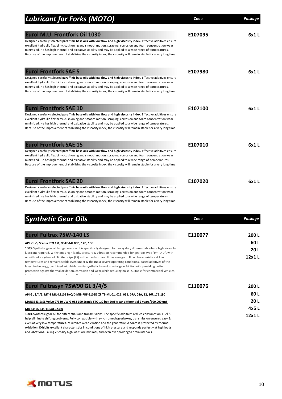| <b>Lubricant for Forks (MOTO)</b>                                                                                                                                                                                                                                                                                                                                                                                                                                                                             | Code    | <b>Package</b> |
|---------------------------------------------------------------------------------------------------------------------------------------------------------------------------------------------------------------------------------------------------------------------------------------------------------------------------------------------------------------------------------------------------------------------------------------------------------------------------------------------------------------|---------|----------------|
| Eurol M.U. Frontfork Oil 1030<br>Designed carefully selected paraffinic base oils with low flow and high viscosity index. Effective additives ensure<br>excellent hydraulic flexibility, cushioning and smooth motion. scraping, corrosion and foam concentration wear<br>minimized. He has high thermal and oxidative stability and may be applied to a wide range of temperatures.<br>Because of the improvement of stabilizing the viscosity index, the viscosity will remain stable for a very long time. | E107095 | 6x1L           |
| <b>Eurol Frontfork SAE 5</b><br>Designed carefully selected paraffinic base oils with low flow and high viscosity index. Effective additives ensure<br>excellent hydraulic flexibility, cushioning and smooth motion. scraping, corrosion and foam concentration wear<br>minimized. He has high thermal and oxidative stability and may be applied to a wide range of temperatures.<br>Because of the improvement of stabilizing the viscosity index, the viscosity will remain stable for a very long time.  | E107980 | 6x1L           |
| <b>Eurol Frontfork SAE 10</b><br>Designed carefully selected paraffinic base oils with low flow and high viscosity index. Effective additives ensure<br>excellent hydraulic flexibility, cushioning and smooth motion. scraping, corrosion and foam concentration wear<br>minimized. He has high thermal and oxidative stability and may be applied to a wide range of temperatures.<br>Because of the improvement of stabilizing the viscosity index, the viscosity will remain stable for a very long time. | E107100 | 6x1L           |
| <b>Eurol Frontfork SAE 15</b><br>Designed carefully selected paraffinic base oils with low flow and high viscosity index. Effective additives ensure<br>excellent hydraulic flexibility, cushioning and smooth motion. scraping, corrosion and foam concentration wear<br>minimized. He has high thermal and oxidative stability and may be applied to a wide range of temperatures.<br>Because of the improvement of stabilizing the viscosity index, the viscosity will remain stable for a very long time. | E107010 | 6x1L           |
| <b>Eurol Frontfork SAE 20</b><br>Designed carefully selected paraffinic base oils with low flow and high viscosity index. Effective additives ensure<br>excellent hydraulic flexibility, cushioning and smooth motion. scraping, corrosion and foam concentration wear<br>minimized. He has high thermal and oxidative stability and may be applied to a wide range of temperatures.                                                                                                                          | E107020 | 6x1L           |

minimized. He has high thermal and oxidative stability and may be applied to a wide range of temperatures. Because of the improvement of stabilizing the viscosity index, the viscosity will remain stable for a very long time.

| <b>Synthetic Gear Oils</b>                                                                                                                                                                                                                                                                                                                                                                                                                                                                                                                                                                                                                                                  | Code    | Package |
|-----------------------------------------------------------------------------------------------------------------------------------------------------------------------------------------------------------------------------------------------------------------------------------------------------------------------------------------------------------------------------------------------------------------------------------------------------------------------------------------------------------------------------------------------------------------------------------------------------------------------------------------------------------------------------|---------|---------|
| <b>Eurol Fultrax 75W-140 LS</b>                                                                                                                                                                                                                                                                                                                                                                                                                                                                                                                                                                                                                                             | E110077 | 200 L   |
| API: GL-5; Scania STO 1:0, ZF-TE-ML 05D, 12D, 16G                                                                                                                                                                                                                                                                                                                                                                                                                                                                                                                                                                                                                           |         | 60L     |
| 100% Synthetic gear oil last generation. It is specifically designed for heavy duty differentials where high viscosity                                                                                                                                                                                                                                                                                                                                                                                                                                                                                                                                                      |         | 20L     |
| lubricant required. Withstands high loads, pressure & vibration recommended for gearbox type "HYPOID", with<br>or without a system of "limited slip» (LS) as the modern cars. It has very good flow characteristics at low<br>temperatures and remains stable even under & the most severe operating conditions. Based additives of the<br>latest technology, combined with high quality synthetic base & special gear friction oils, providing better<br>protection against thermal oxidation, corrosion and wear, while reducing noise. Suitable for commercial vehicles,<br>and the could have a situation and of the contributions of the continuum of the contribution |         | 12x1L   |
| Eurol Fultrasyn 75W90 GL 3/4/5                                                                                                                                                                                                                                                                                                                                                                                                                                                                                                                                                                                                                                              | E110076 | 200L    |
| API GL 3/4/5, MT-1 MIL-L2105 B/C/D MIL-PRF-2105E ZF TE-ML 01, 02B, 05B, 07A, 08A, 12, 16F,17B,19C                                                                                                                                                                                                                                                                                                                                                                                                                                                                                                                                                                           |         | 60 L    |
| MAN3343 S/SL Volvo 97310 VW G 052 190 Scania STO 1:0 box DAF (rear differential 2 years/300.000km)                                                                                                                                                                                                                                                                                                                                                                                                                                                                                                                                                                          |         | 20 L    |
| MB 235.8, 235.11 SAE J2360                                                                                                                                                                                                                                                                                                                                                                                                                                                                                                                                                                                                                                                  |         | 4x5L    |
| 100% Synthetic gear oil for differentials and transmissions. The specific additives reduce consumption Fuel &<br>help eliminate shifting problems. Fully compatible with synchromesh gearboxes, transmission ensures easy &<br>even at very low temperatures. Minimizes wear, erosion and the generation & foam is protected by thermal<br>oxidation. Exhibits excellent characteristics in conditions of high pressure and responds perfectly at high loads                                                                                                                                                                                                                |         | 12x1L   |

and vibrations. Falling viscosity high loads are minimal, and even over prolonged drain intervals.

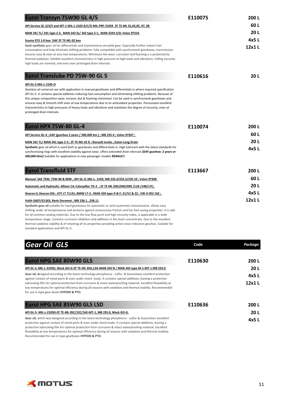| Eurol Transyn 75W90 GL 4/5                                                                                                                                                                                                                                                                                                                                                                                                                                                                                                                                                                                                                | E110075 | 200L          |
|-------------------------------------------------------------------------------------------------------------------------------------------------------------------------------------------------------------------------------------------------------------------------------------------------------------------------------------------------------------------------------------------------------------------------------------------------------------------------------------------------------------------------------------------------------------------------------------------------------------------------------------------|---------|---------------|
| API Service GL 3/4/5 and MT-1 MIL-L-2105 B/C/D MIL-PRF-2105E ZF TE-ML 01,02,05, 07, 08                                                                                                                                                                                                                                                                                                                                                                                                                                                                                                                                                    |         | 60L           |
| MAN 341 TL/ 341 type Z-3, MAN 342 SL/ 342 type S-1, MAN 3343 S/SL Volvo 97310                                                                                                                                                                                                                                                                                                                                                                                                                                                                                                                                                             |         | 20L           |
| Scania STO 1:0 box DAF ZF TE-ML 02 box<br>Semi-synthetic gear oil for differentials and transmissions versatile gear. Especially further reduce fuel<br>consumption and help eliminate shifting problems. fully compatible with synchromesh gearboxes, transmission<br>ensures easy & even at very low temperatures. Minimizes the wear, corrosion and foaming a is protected by<br>thermal oxidation. Exhibits excellent characteristics in high pressure at high loads and vibrations. Falling viscosity<br>high loads are minimal, and even over prolonged drain intervals.                                                            |         | 4x5L<br>12x1L |
| <b>Eurol Translube PD 75W-90 GL 5</b>                                                                                                                                                                                                                                                                                                                                                                                                                                                                                                                                                                                                     | E110616 | 20L           |
| API GL-5 MIL-L-2105-D<br>Gearbox oil universal use with application in manual gearboxes and differentials in where required specification<br>API GL-5. It contains special additives reducing fuel consumption and eliminating shifting problems. Because of<br>this unique composition wear, erosion, but & foaming minimized. Can be used in synchromesh gearboxes and<br>ensures easy & Smooth shift even at low temperatures due to its antioxidant properties .Parousiazei excellent<br>characteristics in high pressures of heavy loads and vibrations and maintains the degree of viscosity, even at<br>prolonged drain intervals. |         |               |
| Eurol HPX 75W-80 GL-4                                                                                                                                                                                                                                                                                                                                                                                                                                                                                                                                                                                                                     | E110074 | 200L          |
| API Service GL-4; DAF (gearbox 2 years / 300.000 km.); MB 235.4; Volvo 97307;                                                                                                                                                                                                                                                                                                                                                                                                                                                                                                                                                             |         | 60 L          |
| MAN 341 TL/ MAN 341 type Z-3; ZF TE-ML 02 D; Renault trucks; Eaton Long Drain                                                                                                                                                                                                                                                                                                                                                                                                                                                                                                                                                             |         | 20L           |
| Synthetic gear oil which is used both as gearboxes and differentials in . High lubricant with the latest standards for<br>synchronizing rings with excellent stability against wear, offers extended drain intervals (DAF gearbox: 2 years or<br>300,000 khm) Suitable for applications in new passenger models RENAULT.                                                                                                                                                                                                                                                                                                                  |         | 4x5L          |
| <b>Eurol Transfluid STF</b>                                                                                                                                                                                                                                                                                                                                                                                                                                                                                                                                                                                                               | E113667 | 200L          |
| Manual: SAE 75W; 75W-80 & 80W ; API GL-4; MIL-L- 2105; MB 235.4/235.5/235.10 ; Volvo 97308                                                                                                                                                                                                                                                                                                                                                                                                                                                                                                                                                |         | 60 L          |
| Automatic and Hydraulic: Allison C4; Caterpillar TO-2 ; ZF TE ML 03D/04D/09X /11B /14B/17C;                                                                                                                                                                                                                                                                                                                                                                                                                                                                                                                                               |         | 20L           |
| Dexron II; Dexron IIIG ; ATF LT 71141; BMW LT-2 ; MAN 339 type D & F; Z1/V1 & Z2 ; VW G 052 162 ;                                                                                                                                                                                                                                                                                                                                                                                                                                                                                                                                         |         | 4x5L          |
| Voith G607/G1363, Renk Doromat ; MB 236.1236.11<br>Synthetic gear oil suitable for hard gearboxes for automatic or semi-automatic transmissions. allows easy<br>shifting under all temperatures and protects against unnecessary friction and has fuel saving properties. It is safe<br>for all common sealing materials. Due to the low flow point and high viscosity index, is applicable in a wide<br>temperature range. Contains corrosion inhibitors and additives in the foam concentrate. Due to the excellent                                                                                                                     |         | 12x1L         |

thermal oxidative stability & of retaining all its properties providing active noise reduction gearbox. Suitable for

|  | standard applications and API GL-5. |
|--|-------------------------------------|
|  |                                     |

| <b>Gear Oil GL5</b>                                                                                                                                                                                                                                                                                                                                                                                                                                           | Code    | Package |
|---------------------------------------------------------------------------------------------------------------------------------------------------------------------------------------------------------------------------------------------------------------------------------------------------------------------------------------------------------------------------------------------------------------------------------------------------------------|---------|---------|
| <b>Eurol HPG SAE 80W90 GL5</b>                                                                                                                                                                                                                                                                                                                                                                                                                                | E110630 | 200L    |
| API GL 5; MIL-L-2105D, Mack GO-G-ZF TE-ML 05A,12A-MAN 342 N / MAN 342 type M-1-MT-1 MB 235.0                                                                                                                                                                                                                                                                                                                                                                  |         | 20L     |
| Gear oil, designed according to the latest technology phosphorus - sulfur & Guarantees excellent protection                                                                                                                                                                                                                                                                                                                                                   |         | 4x5L    |
| against contact of metal parts & even under shock loads. It contains special additives, leaving a protective<br>lubricating film for optimal protection from corrosion & intact waterproofing material. Excellent flowability at<br>low temperatures for optimal efficiency during all seasons with oxidative and thermal stability. Recommended<br>for use in type gear boxes HYPOID & PTO.                                                                  |         | 12x1L   |
| <b>Eurol HPG SAE 85W90 GL5 LSD</b>                                                                                                                                                                                                                                                                                                                                                                                                                            | E110636 | 200L    |
| API GL-5- MIL-L-2105D-ZF TE-ML 05C/12C/16E-MT-1, MB 235.0, Mack GO-G.                                                                                                                                                                                                                                                                                                                                                                                         |         | 20L     |
| Gear oil, which was designed according to the latest technology phosphorus - sulfur & Guarantees excellent<br>protection against contact of metal parts & even under shock loads. It contains special additives, leaving a<br>protective lubricating film for optimal protection from corrosion & intact waterproofing material. Excellent<br>flowability at low temperatures for optimal efficiency during all seasons with oxidative and thermal stability. |         | 4x5L    |

Recommended for use in type gearboxes **HYPOID & PTO.**

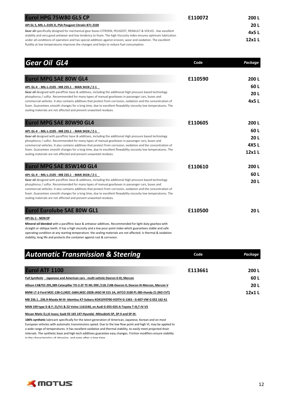| <b>Eurol HPG 75W80 GL5 CP</b>                                                                                                                                                                                                | E110072 | 200 L  |
|------------------------------------------------------------------------------------------------------------------------------------------------------------------------------------------------------------------------------|---------|--------|
| API GL 5, MIL-L-2105 D, PSA Peugeot Citroën B71 2330                                                                                                                                                                         |         | 20 L   |
| Gear oil specifically designed for mechanical gear boxes CITROEN, PEUGEOT, RENAULT & VOLVO. Has excellent<br>stability and very good antiwear and low tendency to foam. The high Viscosity index ensures optimum lubrication |         | 4x5 L  |
| under all conditions of operation and has special additives against erosion, wear and oxidation. The excellent                                                                                                               |         | 12x1 L |
| fluidity at low temperatures improves the changes and helps to reduce fuel consumption.                                                                                                                                      |         |        |

| <b>Gear Oil GL4</b>                                                                                                                                                                                                                                                                                                                                                                                                                                                                                                                                                            | Code    | Package             |
|--------------------------------------------------------------------------------------------------------------------------------------------------------------------------------------------------------------------------------------------------------------------------------------------------------------------------------------------------------------------------------------------------------------------------------------------------------------------------------------------------------------------------------------------------------------------------------|---------|---------------------|
| <b>Eurol MPG SAE 80W GL4</b>                                                                                                                                                                                                                                                                                                                                                                                                                                                                                                                                                   | E110590 | 200L                |
| API: GL-4 - MIL-L-2105 - MB 235.1 - MAN 341N / Z-1<br>Gear oil designed with paraffinic base & additives, including the additional High pressure based technology<br>phosphorus / sulfur. Recommended for many types of manual gearboxes in passenger cars, buses and<br>commercial vehicles. It also contains additives that protect from corrosion, oxidation and the concentration of<br>foam. Guarantees smooth changes for a long time, due to excellent flowability viscosity low temperatures. The<br>sealing materials are not affected and prevent unwanted residues. |         | 60 L<br>20L<br>4x5L |
| Eurol MPG SAE 80W90 GL4                                                                                                                                                                                                                                                                                                                                                                                                                                                                                                                                                        | E110605 | 200L                |
| API: GL-4 - MIL-L-2105 - MB 235.1 - MAN 341N / Z-1<br>Gear oil designed with paraffinic base & additives, including the additional High pressure based technology<br>phosphorus / sulfur. Recommended for many types of manual gearboxes in passenger cars, buses and                                                                                                                                                                                                                                                                                                          |         | 60 L<br>20L         |
| commercial vehicles. It also contains additives that protect from corrosion, oxidation and the concentration of<br>foam. Guarantees smooth changes for a long time, due to excellent flowability viscosity low temperatures. The<br>sealing materials are not affected and prevent unwanted residues.                                                                                                                                                                                                                                                                          |         | 4X5L<br>12x1L       |
| Eurol MPG SAE 85W140 GL4                                                                                                                                                                                                                                                                                                                                                                                                                                                                                                                                                       | E110610 | 200L                |
| API: GL-4 - MIL-L-2105 - MB 235.1 - MAN 341N / Z-1                                                                                                                                                                                                                                                                                                                                                                                                                                                                                                                             |         | 60 L                |
| Gear oil designed with paraffinic base & additives, including the additional High pressure based technology<br>phosphorus / sulfur. Recommended for many types of manual gearboxes in passenger cars, buses and<br>commercial vehicles. It also contains additives that protect from corrosion, oxidation and the concentration of<br>foam. Guarantees smooth changes for a long time, due to excellent flowability viscosity low temperatures. The<br>sealing materials are not affected and prevent unwanted residues.                                                       |         | 20L                 |
| <b>Eurol Eurolube SAE 80W GL1</b>                                                                                                                                                                                                                                                                                                                                                                                                                                                                                                                                              | E110500 | 20L                 |
| API GL-1 - NON EP                                                                                                                                                                                                                                                                                                                                                                                                                                                                                                                                                              |         |                     |
| Mineral oil blended with a paraffinic base & antiwear additives. Recommended for light-duty gearbox with<br>straight or oblique teeth. It has a high viscosity and a low pour point index which guarantees stable and safe                                                                                                                                                                                                                                                                                                                                                     |         |                     |

operating condition at any starting temperature. the sealing materials are not affected. Is thermal & oxidation stability, long life and protects the container against rust & corrosion.

| <b>Automatic Transmission &amp; Steering</b>                                                          | Code    | Package     |
|-------------------------------------------------------------------------------------------------------|---------|-------------|
|                                                                                                       |         |             |
| <b>Eurol ATF 1100</b>                                                                                 | E113661 | 200 L       |
| Full Synthetic - Japanese and American cars - multi vehicle Dexron II-III; Mercon                     |         | 60 L        |
| Allison C4&TES 295.389-Caterpillar TO-2-ZF TE ML 09X /11B /14B-Dexron II: Dexron III-Mercon, Mercon V |         | <b>20 L</b> |
| BMW LT-2-Ford M2C-138-CJ.M2C-166H.M2C-202B-JASO M 315 1A: JATCO 3100 PL 085-Honda Z1 (NO CVT)         |         | 12x1L       |
| MB 236.1236.9-Mazda M-III- Idemitsu K7-Subaru KO410Y0700-VOITH G-1363 - G-607-VW G 052 162 A1         |         |             |
| MAN 339 type D & F: Z1/V1 & Z2-Volvo 1161540, en Audi G-055-025-A-Tovota T-III.T-IV-VS                |         |             |
| Nissan Matic D.J.K-Isuzu: Saab 93 165 147-Hyundai -Mitsubishi SP. SP-II and SP-III-                   |         |             |

**100% synthetic** lubricant specifically for the latest generation of American, Japanese, Korean and on most European vehicles with automatic transmissions speed. Due to the low flow point and high VI, may be applied to a wide range of temperatures. It has excellent oxidative and thermal stability, to easily meet projected drain intervals. The synthetic base and high-tech additives guarantee easy changes. Friction modifiers ensure stability in the characteristics of abrasion, and even after a long time.

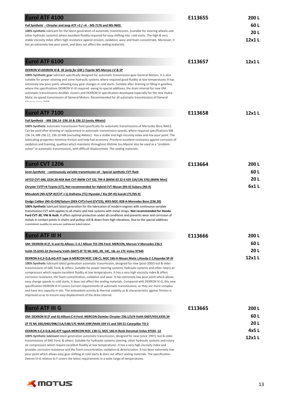| <b>Eurol ATF 4100</b>                                                                                                                                                                                                                                                                                                                                                                                                                                                                                                                                                                                                                                                                                                                                                                                                                                                                                                                                                                                         | E113655 | 200L  |
|---------------------------------------------------------------------------------------------------------------------------------------------------------------------------------------------------------------------------------------------------------------------------------------------------------------------------------------------------------------------------------------------------------------------------------------------------------------------------------------------------------------------------------------------------------------------------------------------------------------------------------------------------------------------------------------------------------------------------------------------------------------------------------------------------------------------------------------------------------------------------------------------------------------------------------------------------------------------------------------------------------------|---------|-------|
| Full Synthetic - Chrysler and Jeep ATF +3 / +4 - MS-7176 and MS-9602.                                                                                                                                                                                                                                                                                                                                                                                                                                                                                                                                                                                                                                                                                                                                                                                                                                                                                                                                         |         | 60 L  |
| 100% synthetic lubricant for the latest generation of automatic transmissions, (suitable for steering wheels and                                                                                                                                                                                                                                                                                                                                                                                                                                                                                                                                                                                                                                                                                                                                                                                                                                                                                              |         | 20L   |
| other hydraulic systems) where excellent fluidity required for easy shifting into cold starts. The high & very<br>stable viscosity index offers high resistance against erosion, oxidation, wear and foam concentrate. Moreover, it                                                                                                                                                                                                                                                                                                                                                                                                                                                                                                                                                                                                                                                                                                                                                                           |         | 12x1L |
| has an extremely low pour point, and does not affect the sealing materials.                                                                                                                                                                                                                                                                                                                                                                                                                                                                                                                                                                                                                                                                                                                                                                                                                                                                                                                                   |         |       |
| <b>Eurol ATF 6100</b>                                                                                                                                                                                                                                                                                                                                                                                                                                                                                                                                                                                                                                                                                                                                                                                                                                                                                                                                                                                         | E113657 | 12x1L |
| DEXRON VI-DEXRON III & IIE (only for GM)-Toyota WS-Mercon LV & SP                                                                                                                                                                                                                                                                                                                                                                                                                                                                                                                                                                                                                                                                                                                                                                                                                                                                                                                                             |         |       |
| 100% Synthetic gear lubricant specifically designed for automatic transmission gear General Motors. It is also<br>suitable for power steering and some hydraulic systems where required good fluidity at low temperatures It has<br>extremely low pour point, allowing easy gear changes in cold starts. Suitable after draining or filling in gearbox,<br>where the specifications DEXRON VI-III required. owing to special additives, the drain interval for new GM<br>automatic transmissions doubles . Covers and DEXRON VI specification developed especially for the new Hydra-<br>Matic six-speed transmission of General Motors. Recommended for all automatic transmissions of General<br>$M$ otors sinso 2005                                                                                                                                                                                                                                                                                       |         |       |
| <b>Eurol ATF 7100</b>                                                                                                                                                                                                                                                                                                                                                                                                                                                                                                                                                                                                                                                                                                                                                                                                                                                                                                                                                                                         | E113658 | 12x1L |
| Full Synthetic - MB 236.14 -236.10 & 236.12 (εκτός 4Matic)                                                                                                                                                                                                                                                                                                                                                                                                                                                                                                                                                                                                                                                                                                                                                                                                                                                                                                                                                    |         |       |
| 100% Synthetic automatic transmission fluid specifically for automatic transmissions of Mercedes Benz NAG2.<br>Can be used after draining or replacement in automatic transmission speeds, where required specifications MB<br>236.14, MB 236.12, 236.10 MB (excluding 4Matic). Has a stable and high viscosity index and low pour point. The<br>lubricating properties minimize friction and help fuel economy .Prosferei excellent resistance against corrosion of<br>oxidation and foaming, qualities which maintains throughout lifetime tou. Mporei also be used as a "problem"<br>solver" in automatic transmissions, with difficult displacement .The sealing materials.                                                                                                                                                                                                                                                                                                                               |         |       |
| Eurol CVT 1206                                                                                                                                                                                                                                                                                                                                                                                                                                                                                                                                                                                                                                                                                                                                                                                                                                                                                                                                                                                                | E113664 | 200L  |
| Semi-Synthetic - continuously variable transmission oil - Special synthetic CVT-fluid                                                                                                                                                                                                                                                                                                                                                                                                                                                                                                                                                                                                                                                                                                                                                                                                                                                                                                                         |         | 60 L  |
| JATCO CVT-DBL 2224.20-NSK Belt CVT-BMW CVT EZL 799 A (BMW 83 22 0 429 154/136 376) (BMW Mini)                                                                                                                                                                                                                                                                                                                                                                                                                                                                                                                                                                                                                                                                                                                                                                                                                                                                                                                 |         | 20L   |
| Chrysler CVTF+4-Toyota (CT), Not recommended for Hybrid CVT-Nissan (NS-II)-Subaru (NS-II)                                                                                                                                                                                                                                                                                                                                                                                                                                                                                                                                                                                                                                                                                                                                                                                                                                                                                                                     |         | 6x1L  |
| Mitsubishi (NS-II/SP-III/CVT J-1)-Daihatsu (TC)-Hyundai / Kia (SP-III)-Suzuki (TC/NS-II)                                                                                                                                                                                                                                                                                                                                                                                                                                                                                                                                                                                                                                                                                                                                                                                                                                                                                                                      |         |       |
| Dodge Caliber (NS-II)-GM/Saturn (DEX-CVT)-Ford (CVT23), WSS-M2C-928-A-Mercedes Benz (236.20)<br>100% Synthetic lubricant latest generation for the lubrication of modern engines with continuous variable<br>transmission CVT with applies to all chains and new systems with metal straps. Not recommended for Honda<br>Ford CVT-30, VW & Audi. It offers optimal protection under all conditions and prevents wear and corrosion of<br>metals in contact points in chains and pulleys still & down from high vibrations. Due to the special additives<br>consistent quality to ensure ontimum lubrication                                                                                                                                                                                                                                                                                                                                                                                                   |         |       |
| <b>Eurol ATF III H</b>                                                                                                                                                                                                                                                                                                                                                                                                                                                                                                                                                                                                                                                                                                                                                                                                                                                                                                                                                                                        | E113666 | 200 L |
| GM: DEXRON III (F, G and H)-Allison: C-4 / Allison TES 295-Ford: MERCON, Mercon V-Mercedes 236.5                                                                                                                                                                                                                                                                                                                                                                                                                                                                                                                                                                                                                                                                                                                                                                                                                                                                                                              |         | 60 L  |
| Voith 55.6335.32 (formerly Voith G607)-ZF TE ML 04D, 09, 14C, 16L en 17C-Volvo 97340                                                                                                                                                                                                                                                                                                                                                                                                                                                                                                                                                                                                                                                                                                                                                                                                                                                                                                                          |         | 20L   |
| DEXRON II-E,II-D,B,AQ-ATF type A-MERCON M2C 138-CJ, M2C 166-H-Nissan Matic J,Honda Z-1,Hyundai SP-III<br>100% Synthetic lubricant latest generation automatic transmission, designed for new (post-2003) but & older<br>transmissions of GM, Ford, & others. Suitable for power steering systems, hydraulic systems and other rotary air<br>compressors which require excellent fluidity at low temperatures. It has a very high viscosity index & offers<br>corrosion resistance, the foam concentration, oxidation and wear. It has extremely low pour point which allows<br>easy change speeds in cold starts. It does not affect the sealing materials. Compared with DEXRON III-G, this new<br>specification DEXRON III-H covers Current requirements of automatic transmissions, as they are more complex<br>and have less capacity in oils. The antioxidant activity & thermal stability as & characteristics against friction is<br>improved so as to ensure easy displacement of the drain interval. |         | 12x1L |
| <b>Eurol ATF III G</b>                                                                                                                                                                                                                                                                                                                                                                                                                                                                                                                                                                                                                                                                                                                                                                                                                                                                                                                                                                                        | E113665 | 200 L |
| GM: DEXRON III (F and G)-Allison:C-4-Ford: MERCON-Daimler Chrysler 236.1/5/9-Voith G607/H55.6335.34                                                                                                                                                                                                                                                                                                                                                                                                                                                                                                                                                                                                                                                                                                                                                                                                                                                                                                           |         | 60 L  |
| ZF TE ML 03D/04D/09B/11A/14B/17C-MAN 339F/MAN 339 V1 and 339 Z1-Caterpillar TO-2                                                                                                                                                                                                                                                                                                                                                                                                                                                                                                                                                                                                                                                                                                                                                                                                                                                                                                                              |         | 20L   |
| DEXRON II-E, II-D, B, AQ-ATF typeA-MERCON M2C 138-CJ, M2C 166-H-Renk Doromat-Volvo 97335 -12                                                                                                                                                                                                                                                                                                                                                                                                                                                                                                                                                                                                                                                                                                                                                                                                                                                                                                                  |         | 4x5L  |
| 100% Synthetic lubricant latest generation automatic transmission, designed for new (since 1997), but & older<br>transmissions of GM, Ford, & others. Suitable for hydraulic systems steering, other hydraulic systems and rotary<br>air compressors which require excellent fluidity at low temperatures. It has a very high viscosity index and<br>provides corrosion resistance and the foam concentration, oxidation & deterioration. It has been extremely low<br>pour point which allows easy gear shifting at cold starts & does not affect sealing materials. The specification                                                                                                                                                                                                                                                                                                                                                                                                                       |         | 12x1L |

Dexron III-G relative to F covers the latest requirements in a wide range of temperatures.

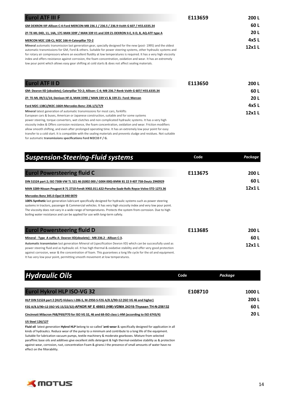| <b>Eurol ATF III F</b>                                                                                                                                                                                                                                                                                                                                                                                                                                                                                                                                                            | E113659 | 200 L  |
|-----------------------------------------------------------------------------------------------------------------------------------------------------------------------------------------------------------------------------------------------------------------------------------------------------------------------------------------------------------------------------------------------------------------------------------------------------------------------------------------------------------------------------------------------------------------------------------|---------|--------|
| GM DEXRON IIIF-Allison C-4-Ford MERCON-MB 236.1 / 236.5 / 236.9-Voith G 607 / H55.6335.34                                                                                                                                                                                                                                                                                                                                                                                                                                                                                         |         | 60 L   |
| ZF-TE-ML 04D, 11, 14A, 17C-MAN 339F / MAN 339 V1 and 339 Z1-DEXRON II-E, II-D, B, AQ-ATF type A                                                                                                                                                                                                                                                                                                                                                                                                                                                                                   |         | 20L    |
| MERCON M2C 138-CJ, M2C 166-H-Caterpillar TO-2                                                                                                                                                                                                                                                                                                                                                                                                                                                                                                                                     |         | 4x5 L  |
| Mineral automatic transmission last generation gear, specially designed for the new (post-1995) and the oldest<br>automatic transmissions for GM, Ford & others. Suitable for power steering systems, other hydraulic systems and<br>for rotary air compressors where an excellent fluidity at low temperatures is required. It has a very high viscosity<br>index and offers resistance against corrosion, the foam concentration, oxidation and wear. It has an extremely<br>low pour point which allows easy gear shifting at cold starts & does not affect sealing materials. |         | 12x1 L |
| <b>Eurol ATF II D</b>                                                                                                                                                                                                                                                                                                                                                                                                                                                                                                                                                             | E113650 | 200 L  |
| GM: Dexron IID (obsolete); Caterpillar TO-2; Allison: C-4; MB 236.7-Renk-Voith G 607/ H55.6335.34                                                                                                                                                                                                                                                                                                                                                                                                                                                                                 |         | 60 I   |

## **ZF: TE-ML 09/11/14; Denison HF-0, MAN 339D / MAN 339 V1 & 339 Z1- Ford: Mercon 20 L Ford M2C-138CJ/M2C-166H-Mercedes Benz: 236.1/5/7/9 4x5 L**

**Mineral** latest generation of automatic transmissions for most cars, forklifts European cars & buses, American or Japanese construction, suitable and for some systems power steering, torque converters, wet clutches and non complicated hydraulic systems. It has a very high viscosity index & Offers corrosion resistance, the foam concentration, oxidation and wear. Friction modifiers allow smooth shifting, and even after prolonged operating time. It has an extremely low pour point for easy transfer to a cold start. It is compatible with the sealing materials and prevents sludge and residues. Not suitable for automatic **transmissions specifications Ford M2C33 F / G.** 

| <b>Suspension-Steering-Fluid systems</b>                                                                                                                                                                                                                                                                                                                                                                                                                            | Code    | Package       |
|---------------------------------------------------------------------------------------------------------------------------------------------------------------------------------------------------------------------------------------------------------------------------------------------------------------------------------------------------------------------------------------------------------------------------------------------------------------------|---------|---------------|
| <b>Eurol Powersteering fluid C</b><br>DIN 51524 part 2; ISO 7308-VW TL 521 46 (G002 000 / G004 000)-BMW 81 22 9 407 758-Deutz 2940929                                                                                                                                                                                                                                                                                                                               | E113675 | 200 L<br>60 L |
| MAN 3289-Nissan-Peugeot B 71 2710-Fendt X902.011.622-Porsche-Saab-Rolls Royce-Volvo STD 1273.36                                                                                                                                                                                                                                                                                                                                                                     |         | 12x1 L        |
| Mercedes Benz 345.0-Opel B 040 0070<br>100% Synthetic last generation lubricant specifically designed for hydraulic systems such as power steering<br>systems in tractors, passenger & Commercial vehicles. It has very high viscosity index and very low pour point.<br>The viscosity does not vary in a wide range of temperatures. Protects the system from corrosion. Due to high<br>boiling water resistance and can be applied for use with long-term safety. |         |               |
| <b>Eurol Powersteering fluid D</b>                                                                                                                                                                                                                                                                                                                                                                                                                                  | E113685 | 200L          |
| Mineral - Type A suffix A- Dexron IID(obsolete) - MB 236.2 - Allison C-3.                                                                                                                                                                                                                                                                                                                                                                                           |         | 60 L          |
| Automatic transmission last generation Mineral oil (specification Dexron IID) which can be successfully used as<br>power steering fluid and as hydraulic oil. It has high thermal & oxidative stability and offer very good protection<br>against corrosion, wear & the concentration of foam. This guarantees a long life cycle for the oil and equipment.                                                                                                         |         | 12x1L         |

It has very low pour point, permitting smooth movement at low temperatures.

| <b>Hydraulic Oils</b>                                                                                                | Code    | Package |
|----------------------------------------------------------------------------------------------------------------------|---------|---------|
| <b>Eurol Hykrol HLP ISO-VG 32</b>                                                                                    | E108710 | 1000L   |
| HLP DIN 51524 part 2 (HLP)-Vickers I-286-S, M-2950-S-FZG A/8.3/90>12 (ISO VG 46 and higher)                          |         | 200 L   |
| FZG A/8.3/90=12 (ISO VG 15/22/32)-AFNOR NF E 48603 (HM)-VDMA 24318-Thyssen TH-N-256132                               |         | 60 L    |
| Cincinnati Milacron P68/P69/P70 for ISO VG 32, 46 and 68-ISO class L-HM (according to ISO 6743/4)                    |         | 20L     |
| <b>US Steel 126/127</b>                                                                                              |         |         |
| Fluid oil latest generation Hykrol HLP belong to so-called 'anti-wear & specifically designed for application in all |         |         |
| kinds of hydraulics. Reduce wear of the pump to a minimum and contribute to a long life of the equipment.            |         |         |
| Suitable for lubrication vacuum numes, toutile machinery 8, moderate gearboyes, Mixture from selected                |         |         |

le for lubrication vacuum pumps, textile machinery & moderate gearboxes. Mixture from selected paraffinic base oils and additives give excellent skills detergent & high thermal-oxidative stability as & protection against wear, corrosion, rust, concentration Foam & giransi.I the presence of small amounts of water have no effect on the filterability.



**12x1 L**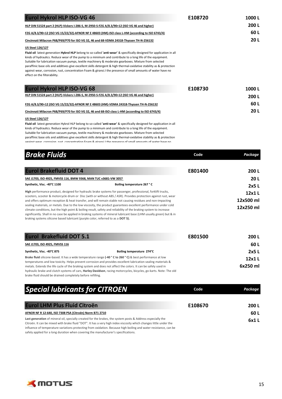| <b>Eurol Hykrol HLP ISO-VG 46</b>                                                                                                                                                                                                                                                                                                                                                                                                                                                                                                                                                                                                               | E108720 | 1000L |
|-------------------------------------------------------------------------------------------------------------------------------------------------------------------------------------------------------------------------------------------------------------------------------------------------------------------------------------------------------------------------------------------------------------------------------------------------------------------------------------------------------------------------------------------------------------------------------------------------------------------------------------------------|---------|-------|
| HLP DIN 51524 part 2 (HLP)-Vickers I-286-S, M-2950-S-FZG A/8.3/90>12 (ISO VG 46 and higher)                                                                                                                                                                                                                                                                                                                                                                                                                                                                                                                                                     |         | 200 L |
| FZG A/8.3/90=12 (ISO VG 15/22/32)-AFNOR NF E 48603 (HM)-ISO class L-HM (according to ISO 6743/4)                                                                                                                                                                                                                                                                                                                                                                                                                                                                                                                                                |         | 60 L  |
| Cincinnati Milacron P68/P69/P70 for ISO VG 32, 46 and 68-VDMA 24318-Thyssen TH-N-256132                                                                                                                                                                                                                                                                                                                                                                                                                                                                                                                                                         |         | 20 L  |
| <b>US Steel 126/127</b><br>Fluid oil latest generation Hykrol HLP belong to so-called 'anti-wear' & specifically designed for application in all<br>kinds of hydraulics. Reduce wear of the pump to a minimum and contribute to a long life of the equipment.<br>Suitable for lubrication vacuum pumps, textile machinery & moderate gearboxes. Mixture from selected<br>paraffinic base oils and additives give excellent skills detergent & high thermal-oxidative stability as & protection<br>against wear, corrosion, rust, concentration Foam & giransi. I the presence of small amounts of water have no<br>effect on the filterability. |         |       |
| <b>Eurol Hykrol HLP ISO-VG 68</b>                                                                                                                                                                                                                                                                                                                                                                                                                                                                                                                                                                                                               | E108730 | 1000L |
| HLP DIN 51524 part 2 (HLP)-Vickers I-286-S, M-2950-S-FZG A/8.3/90>12 (ISO VG 46 and higher)                                                                                                                                                                                                                                                                                                                                                                                                                                                                                                                                                     |         | 200 L |
| FZG A/8.3/90=12 (ISO VG 15/22/32)-AFNOR NF E 48603 (HM)-VDMA 24318-Thyssen TH-N-256132                                                                                                                                                                                                                                                                                                                                                                                                                                                                                                                                                          |         | 60 L  |
| Cincinnati Milacron P68/P69/P70 for ISO VG 32, 46 and 68-ISO class L-HM (according to ISO 6743/4)                                                                                                                                                                                                                                                                                                                                                                                                                                                                                                                                               |         | 20 L  |
| <b>US Steel 126/127</b><br>Flotd off forcer concentration (that ON Notes or concelled form) could free adfactional concentration to all co                                                                                                                                                                                                                                                                                                                                                                                                                                                                                                      |         |       |

**Fluid oil** latest generation Hykrol HLP belong to so-called **'anti-wear'** & specifically designed for application in all kinds of hydraulics. Reduce wear of the pump to a minimum and contribute to a long life of the equipment. Suitable for lubrication vacuum pumps, textile machinery & moderate gearboxes. Mixture from selected paraffinic base oils and additives give excellent skills detergent & high thermal-oxidative stability as & protection against wear, corrosion, rust, concentration Foam & giransi.I the presence of small amounts of water have no

| <b>Brake Fluids</b>                                                              |                                                                                                                                                                                                                                                                                                                                                              | Code    | Package   |
|----------------------------------------------------------------------------------|--------------------------------------------------------------------------------------------------------------------------------------------------------------------------------------------------------------------------------------------------------------------------------------------------------------------------------------------------------------|---------|-----------|
| <b>Eurol Brakefluid DOT 4</b>                                                    |                                                                                                                                                                                                                                                                                                                                                              | E801400 | 200L      |
| SAE J1703, ISO 4925, FMVSS 116, BMW 9368, MAN TUC v3681-VW 3057                  |                                                                                                                                                                                                                                                                                                                                                              |         | 20 L      |
| Synthetic, Visc. -40°C 1100                                                      | Boiling temperature 267 °C                                                                                                                                                                                                                                                                                                                                   |         | 2x5L      |
|                                                                                  | High performance product, designed for hydraulic brake systems for passenger, professional, forklift trucks,                                                                                                                                                                                                                                                 |         | 12x1L     |
|                                                                                  | scooters, scooter & motorcycle drum or Disc (with or without ABS / ASR). Provides protection against rust, wear<br>and offers optimum reception & heat transfer, and will remain stable not causing residues and non-impacting                                                                                                                               |         | 12x500 ml |
|                                                                                  | sealing materials, or metals. Due to the low viscosity, the product guarantees excellent performance under cold<br>climate conditions, but the high point & boiling result, safety and reliability of the braking system to increase<br>significantly. Shall in no case be applied in braking systems of mineral lubricant base (LHM usually green) but & in |         | 12x250 ml |
| braking systems silicone based lubricant (purple color, referred to as a DOT 5). |                                                                                                                                                                                                                                                                                                                                                              |         |           |
| <b>Eurol Brakefluid DOT 5.1</b>                                                  |                                                                                                                                                                                                                                                                                                                                                              | E801500 | 200L      |
| SAE J1703, ISO 4925, FMVSS 116                                                   |                                                                                                                                                                                                                                                                                                                                                              |         | 60 L      |
| Synthetic, Visc. -40°C 875                                                       | Boiling temperature 274°C                                                                                                                                                                                                                                                                                                                                    |         | 2x5L      |
|                                                                                  | Brake fluid silicone-based. It has a wide temperature range (-40 °C to 260 °C) & best performance at low                                                                                                                                                                                                                                                     |         | 12x1L     |
|                                                                                  | temperatures and low toxicity. Helps prevent corrosion and provides excellent lubrication sealing materials &<br>metals. Extends the life cycle of the braking system and does not affect the colors. It can be safely used in                                                                                                                               |         | 6x250 ml  |
|                                                                                  | hydraulic brake and clutch systems of cars, Harley Davidson, racing motorcycles, bicycles, go-karts. Note: The old                                                                                                                                                                                                                                           |         |           |

brake fluid should be drained completely before refilling.

| <b>Special lubricants for CITROEN</b>                                                                                                                                                                                                                                                                                                                 | Code    | Package |
|-------------------------------------------------------------------------------------------------------------------------------------------------------------------------------------------------------------------------------------------------------------------------------------------------------------------------------------------------------|---------|---------|
| <b>Eurol LHM Plus Fluid Citroën</b>                                                                                                                                                                                                                                                                                                                   | E108670 | 200 L   |
| AFNOR NF R 12-640, ISO 7308 PSA (Citroën) Norm B71 2710                                                                                                                                                                                                                                                                                               |         | 60 L    |
| Last generation of mineral oil, specially created for the brakes, the system posts & Address especially the<br>Citroën. It can be mixed with brake fluid "DOT". It has a very high index viscosity which changes little under the<br>influence of temperature variations protecting from oxidation. Because high boiling and water resistance, can be |         | 6x1 L   |

safely applied for a long duration when covering the manufacturer's specifications.

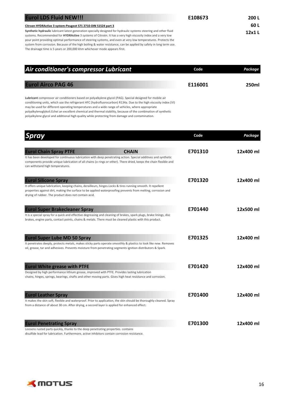| <b>Eurol LDS Fluid NEW!!!</b>                                                                                                                                                                                                                                                                                                                                                                                                                                                                                                                       | E108673 | 200 L  |
|-----------------------------------------------------------------------------------------------------------------------------------------------------------------------------------------------------------------------------------------------------------------------------------------------------------------------------------------------------------------------------------------------------------------------------------------------------------------------------------------------------------------------------------------------------|---------|--------|
| Citroen HYDRActive 3 system-Peugeot S71 2710-DIN 51524 part 3                                                                                                                                                                                                                                                                                                                                                                                                                                                                                       |         | 60 L   |
| Synthetic hydraulic lubricant latest generation specially designed for hydraulic systems steering and other fluid<br>systems. Recommended for HYDRActive 3 systems of Citroën. It has a very high viscosity index and a very low<br>pour point providing optimal performance of steering systems, and even at very low temperatures. Protects the<br>system from corrosion. Because of the high boiling & water resistance, can be applied by safety in long term use.<br>The drainage time is 5 years or 200,000 khm whichever mode appears first. |         | 12x1 L |

| Air conditioner's compressor Lubricant                                                                                                                                                                                          | Code    | Package |
|---------------------------------------------------------------------------------------------------------------------------------------------------------------------------------------------------------------------------------|---------|---------|
| <b>Eurol Airco PAG 46</b>                                                                                                                                                                                                       | E116001 | 250ml   |
| Lubricant compressor air conditioners based on polyalkylene glycol (PAG). Special designed for mobile air<br>conditioning units, which use the refrigerant HEC (budrofluerecarbon) B124a. Due to the bigh viscosity index (VII) |         |         |

conditioning units, which use the refrigerant HFC (hydrofluorocarbon) R134a. Due to the high viscosity index (VI) may be used for different operating temperatures and a wide range of vehicles, where appropriate polyalkylenoglykoli.Echei an excellent chemical and thermal stability, because of the combination of synthetic polyalkylene glycol and additional high quality while protecting from damage and contamination.

| <b>Spray</b>                                                                                                                                                                                                                                                                                                         |              | Code    | Package   |
|----------------------------------------------------------------------------------------------------------------------------------------------------------------------------------------------------------------------------------------------------------------------------------------------------------------------|--------------|---------|-----------|
| <b>Eurol Chain Spray PTFE</b><br>It has been developed for continuous lubrication with deep penetrating action. Special additives and synthetic<br>components provide unique lubrication of all chains (o-rings or other). There dried, keeps the chain flexible and<br>can withstand high temperatures.             | <b>CHAIN</b> | E701310 | 12x400 ml |
| <b>Eurol Silicone Spray</b><br>It offers unique lubrication, keeping chains, derailleurs, hinges. Locks & tires running smooth. It repellent<br>properties against dirt, making the surface to be applied waterproofing prevents from melting, corrosion and<br>drying of rubber. The product does not contain acid. |              | E701320 | 12x400 ml |
| <b>Eurol Super Brakecleaner Spray</b><br>It is a special spray for a quick and effective degreasing and cleaning of brakes, spark plugs, brake linings, disc<br>brakes, engine parts, contact points, chains & metals. There must be cleaned plastic with this product.                                              |              | E701440 | 12x500 ml |
| <b>Eurol Super Lube MD 50 Spray</b><br>It penetrates deeply, protects metals, makes sticky parts operate smoothly & plastics to look like new. Removes<br>oil, grease, tar and adhesives. Prevents moisture from penetrating segments ignition distributors & Spark.                                                 |              | E701325 | 12x400 ml |
| <b>Eurol White grease with PTFE</b><br>Designed by high performance lithium grease, improved with PTFE. Provides lasting lubrication<br>chains, hinges, springs, bearings, shafts and other moving parts. Gives high heat resistance and corrosion.                                                                  |              | E701420 | 12x400 ml |
| <b>Eurol Leather Spray</b><br>It makes the skin soft, flexible and waterproof. Prior to application, the skin should be thoroughly cleaned. Spray<br>from a distance of about 30 cm. After drying, a second layer is applied for enhanced effect.                                                                    |              | E701400 | 12x400 ml |
| <b>Eurol Penetrating Spray</b><br>Loosens rusted parts quickly, thanks to the deep penetrating properties. contains                                                                                                                                                                                                  |              | E701300 | 12x400 ml |

disulfide lead for lubrication. Furthermore, active inhibitors contain corrosion resistance.

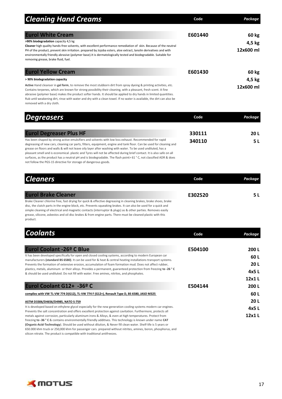| <b>Cleaning Hand Creams</b>                                                                                                                                                                                                                                                                                                                                                                                                            | Code    | Package             |
|----------------------------------------------------------------------------------------------------------------------------------------------------------------------------------------------------------------------------------------------------------------------------------------------------------------------------------------------------------------------------------------------------------------------------------------|---------|---------------------|
| <b>Eurol White Cream</b>                                                                                                                                                                                                                                                                                                                                                                                                               | E601440 | 60 kg               |
| >90% biodegradation capacity 4,5 kg<br>Cleaner high quality hands-free solvents, with excellent performance remediation of skin. Because of the neutral<br>PH of the product, prevent skin irritation. prepared by Jojoba esters, aloe extract, lanolin derivatives and with<br>environmentally friendly abrasive (polymer base). It is dermatologically tested and biodegradable. Suitable for<br>removing grease, brake fluid, fuel. |         | 4,5 kg<br>12x600 ml |
| <b>Eurol Yellow Cream</b>                                                                                                                                                                                                                                                                                                                                                                                                              | E601430 | 60 kg               |
| > 90% biodegradation capacity                                                                                                                                                                                                                                                                                                                                                                                                          |         | 4,5 kg              |
| Active Hand cleanser in gel form, to remove the most stubborn dirt from spray dyeing & printing activities, etc.<br>Contains terpenes, which are known for strong possibility their cleaning, with a pleasant, fresh scent. A fine<br>abrasive (polymer base) makes the product softer hands. It should be applied to dry hands in limited quantities.                                                                                 |         | 12x600 ml           |

## removed with a dry cloth.

| <b>Degreasers</b>                                                                                                                                                                                                                                                                                                                             | Code   | Package |
|-----------------------------------------------------------------------------------------------------------------------------------------------------------------------------------------------------------------------------------------------------------------------------------------------------------------------------------------------|--------|---------|
| <b>Eurol Degreaser Plus HF</b>                                                                                                                                                                                                                                                                                                                | 330111 | 20 L    |
| Has been shaped by strong active emulsifiers and solvents with low loss exhaust. Recommended for rapid<br>degreasing of new cars, cleaning car parts, filters, equipment, engine and tank floor. Can be used for cleaning and<br>grease on floors and walls & will not leave oily layer after washing with water. To be used undiluted, has a | 340110 | 5 L     |
| pleasant smell and is economical. plastic and Tyres will not be affected during brief contact. It is also safe on all                                                                                                                                                                                                                         |        |         |

pleasant smell and is economical. plastic and Tyres will not be affected during brief contact. It is also safe on all surfaces, as the product has a neutral pH and is biodegradable. The flash point> 61 ° C, not classified ADR & does not follow the PGS-15 directive for storage of dangerous goods.

Rub until weakening dirt, rinse with water and dry with a clean towel. If no water is available, the dirt can also be

| <b>Cleaners</b>                                                                                                                                                                                                                                                                                                                                     | Code    | Package |
|-----------------------------------------------------------------------------------------------------------------------------------------------------------------------------------------------------------------------------------------------------------------------------------------------------------------------------------------------------|---------|---------|
| <b>Eurol Brake Cleaner</b>                                                                                                                                                                                                                                                                                                                          | E302520 | 5 L     |
| Brake Cleaner chlorine free, fast drying for quick & effective degreasing in cleaning brakes, brake shoes, brake<br>disc, the clutch parts in the engine block, etc. Prevents squeaking brakes. It can also be used for a quick and<br>simple cleaning of electrical and magnetic contacts (interruptor & plugs) as & other parties. Removes easily |         |         |

simple cleaning of electrical and magnetic contacts (interruptor & plugs) as & other parties. Removes easily grease, silicone, asbestos and oil disc brakes & from engine parts. There must be cleaned plastic with this product.

| <b>Coolants</b>                                                                                                                                                                                                            | Code    | Package |
|----------------------------------------------------------------------------------------------------------------------------------------------------------------------------------------------------------------------------|---------|---------|
| Eurol Coolant -26º C Blue                                                                                                                                                                                                  | E504100 | 200 L   |
| It has been developed specifically for open and closed cooling systems, according to modern European car                                                                                                                   |         | 60 L    |
| manufacturers (standard BS 6580). It can be used for & heat & central heating installations transport systems.<br>Prevents the formation of extensive erosion, accumulation of foam formation mud. Does not affect rubber, |         | 20L     |
| plastics, metals, aluminum or their alloys. Provides a permanent, guaranteed protection from freezing to -26 °C                                                                                                            |         | 4x5 L   |
| & should be used undiluted. Do not fill with water. Free amines, nitrites, and phosphates.<br>Eurol Coolant G12+ -36º C                                                                                                    |         | 12x1 L  |
|                                                                                                                                                                                                                            | E504144 | 200 L   |
|                                                                                                                                                                                                                            |         |         |
| complies with VW TL-VW 774 D(G12), TL-VW 774 F (G12+), Renault Type D, BS 6580, JASO M325                                                                                                                                  |         | 60 L    |
| ASTM D3306/D4656/D4985, NATO S-759                                                                                                                                                                                         |         | 20L     |
| It is developed based on ethylene glycol especially for the new generation cooling systems modern car engines.                                                                                                             |         | 4x5L    |
| Prevents the salt concentration and offers excellent protection against cavitation. Furthermore, protects all<br>metals against corrosion, particularly aluminum irons & Alloys, & even at high temperatures. Protect from |         | 12x1 L  |
| freezing to -36 ° C & contains environmentally friendly additives. This technology is known under name CAT                                                                                                                 |         |         |
| (Organic-Acid-Technology). Should be used without dilution, & Never fill clean water. Shelf-life is 5 years or                                                                                                             |         |         |
| 650.000 khm truck or 250,000 khm for passenger cars. prepared without nitrites, amines, boron, phosphorus, and                                                                                                             |         |         |

silicon nitrate. The product is compatible with traditional antifreezes.

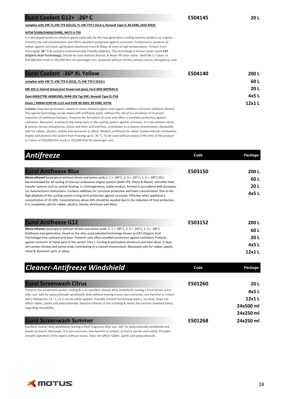## **Eurol Coolant G12+ -26º C E504145 20 L**

**complies with VW TL-VW 774 D(G12), TL-VW 774 F (G12+), Renault Type D, BS 6580, JASO M325** 

## **ASTM D3306/D4656/D4985, NATO S-759**

It is developed based on ethylene glycol especially for the new generation cooling systems modern car engines. Prevents the salt concentration and offers excellent protection against cavitation. Furthermore, protects all metals against corrosion, particularly aluminum irons & Alloys, & even at high temperatures. Protect from freezing **to -36 ° C** & contains environmentally friendly additives. This technology is known under name **CAT (Organic-Acid-Technology).** Should be used without dilution, & Never fill clean water. Shelf-life is 5 years or 650.000 khm truck or 250,000 khm for passenger cars. prepared without nitrites, amines, boron, phosphorus, and

| <b>Eurol Coolant -36º XL Yellow</b>                                                                             | E504140 | 200 L       |
|-----------------------------------------------------------------------------------------------------------------|---------|-------------|
| complies with VW TL-VW 774 D (G12), TL-VW 774 F (G12+)                                                          |         | 60 L        |
| MB 325.3; Detroit Diesel (incl Powercool plus); Ford WSS-M97B44-D                                               |         | <b>20 L</b> |
| Opel-GM6277M +B0401065; MAN 324 Typ SNF; Renault Type D; PSA                                                    |         | 4x5 L       |
| Deutz / MWM 0199-99-1115 and 0199-99-2091: BS 6580: ASTM                                                        |         | 12x1 L      |
| Coolant long new generation, based on mono-ethylene glycol and organic inhibitors corrosion (without silicate). |         |             |
| This special technology can be mixed with antifreeze party, without the risk of accumulation of mud and         |         |             |

reduction of antifreeze features. Prevents the formation of scale and offers a excellent protection against cavitation. Moreover, it protects the metal parts in the cooling system against corrosion. It is not without nitrite & amines, boron, phosphorus, silicon and nitric acid and thus, contributes to a cleaner environment. Absolutely safe for rubber, plastics, metals and aluminum or alloys. Modern antifreeze for water-cooled internal combustion engine and protects the system from freezing up to -36 °C. To be used without araiosi.O life time of the product is 5 years or 650,000 khm truck or 250,000 khm for passenger cars.

| <b>Antifreeze</b>                                                                                                                                                                                                                                                                                                                                                                                                           | Code    | Package        |
|-----------------------------------------------------------------------------------------------------------------------------------------------------------------------------------------------------------------------------------------------------------------------------------------------------------------------------------------------------------------------------------------------------------------------------|---------|----------------|
|                                                                                                                                                                                                                                                                                                                                                                                                                             |         |                |
| <b>Eurol Antifreeze Blue</b>                                                                                                                                                                                                                                                                                                                                                                                                | E503150 | 200L           |
| Mono-ethanol based glycol without nitrate and amino acids 1: $1 = -36^{\circ}$ C, 2: $3 = -25^{\circ}$ C, 1: $2 = -18^{\circ}$ C 20 L.                                                                                                                                                                                                                                                                                      |         | 60L            |
| Recommended for all cooling of internal combustion engine systems (both LPG, Petrol & Diesel) and other heat<br>transfer systems such as central heating. Is a homogeneous, stable product, formed in accordance with European                                                                                                                                                                                              |         | 20L            |
| car manufacturers instructions. Contains additives for corrosion protection and foam concentration. Due to the<br>high alkalinity of the cooling system is long term protection against corrosion. Effective when applied at a<br>concentration of 25-50%. Concentrations above 65% should be avoided due to the reduction of frost protection.<br>It is completely safe for rubber, plastics, metals, aluminum and alloys. |         | 4x5L           |
| <b>Eurol Antifreeze G12</b>                                                                                                                                                                                                                                                                                                                                                                                                 | E503152 | 200L           |
| Mono-ethanol based glycol without nitrates and amino acids, 1: $1 = -369$ C, $2: 3 = -259$ C, $1: 2 = -189$ C                                                                                                                                                                                                                                                                                                               |         | 60 L           |
| Antifreeze new generation, based on the silica used patented technology known as OAT (Organic Acid<br>Technology) free carboxyl-acid base. Prevents salts offers excellent protection against cavitation. Protects                                                                                                                                                                                                          |         | 20L            |
| against corrosion of metal parts in the system 12x1 L. Cooling & particularly aluminum and steel alloys. It does                                                                                                                                                                                                                                                                                                            |         | 4x5L           |
| not contain nitrates and amino acids, contributing to a cleaner environment. Absolutely safe for rubber, plastic,<br>metal & aluminum parts or alloys.                                                                                                                                                                                                                                                                      |         | 12x1L          |
| <b>Cleaner-Antifreeze Windshield</b>                                                                                                                                                                                                                                                                                                                                                                                        | Code    | <b>Package</b> |
| <b>Eurol Screenwash Citrus</b>                                                                                                                                                                                                                                                                                                                                                                                              | E501260 | 20L            |
| Prevents the windshield washer cooling & is an excellent cleaner dirty windshield, leaving a fresh lemon scent                                                                                                                                                                                                                                                                                                              |         | 4x5L           |
| after use. Safe for polycarbonate windshield, dries without leaving traces, non-corrosive, non-harmful or irritant<br>and a flashpoint> 23 ° C, so it can be safely applied. Provides smooth functioning wipers, no noise. Does not                                                                                                                                                                                         |         | 12x1L          |
| affect rubber, paints and polycarbonate. based in ethanol, is not irritating & meets the German standard Dekra,<br>regarding cleanability.                                                                                                                                                                                                                                                                                  |         | 24x500 ml      |
|                                                                                                                                                                                                                                                                                                                                                                                                                             |         | 24x250 ml      |
| <b>Eurol Screenwash Summer</b>                                                                                                                                                                                                                                                                                                                                                                                              | E501268 | 24x250 ml      |
| Excellent cleaner dirty windshield, leaving a fresh fragrance after use. safe for polycarbonate windshield and                                                                                                                                                                                                                                                                                                              |         |                |

leaves no traces. Moreover, it is non-corrosive, non-harmful or irritant, so that it can be used safely. Provides smooth operation of the wipers without noises. Does not affect rubber, paints and polycarbonate.